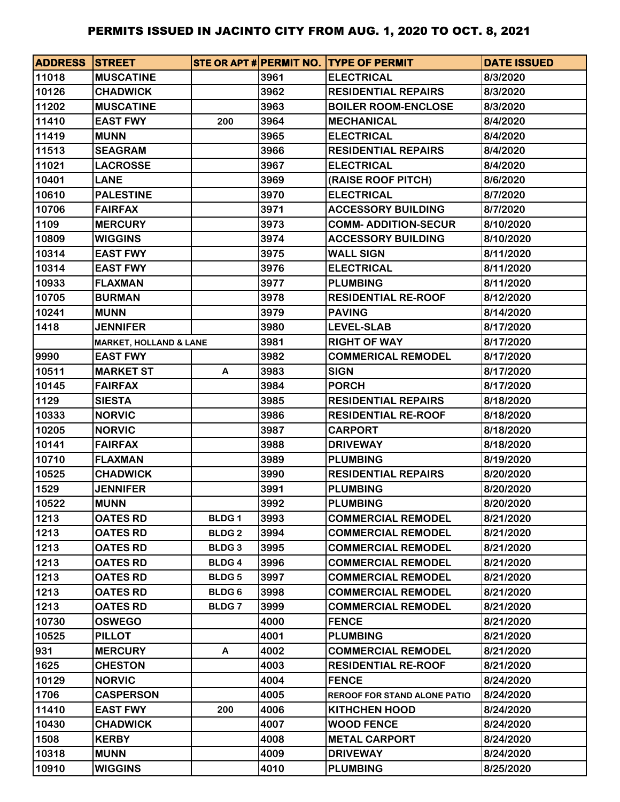| <b>ADDRESS STREET</b> |                                   |              |      | STE OR APT # PERMIT NO. TYPE OF PERMIT | <b>DATE ISSUED</b> |
|-----------------------|-----------------------------------|--------------|------|----------------------------------------|--------------------|
| 11018                 | <b>MUSCATINE</b>                  |              | 3961 | <b>ELECTRICAL</b>                      | 8/3/2020           |
| 10126                 | <b>CHADWICK</b>                   |              | 3962 | <b>RESIDENTIAL REPAIRS</b>             | 8/3/2020           |
| 11202                 | <b>MUSCATINE</b>                  |              | 3963 | <b>BOILER ROOM-ENCLOSE</b>             | 8/3/2020           |
| 11410                 | <b>EAST FWY</b>                   | 200          | 3964 | <b>MECHANICAL</b>                      | 8/4/2020           |
| 11419                 | <b>MUNN</b>                       |              | 3965 | <b>ELECTRICAL</b>                      | 8/4/2020           |
| 11513                 | <b>SEAGRAM</b>                    |              | 3966 | <b>RESIDENTIAL REPAIRS</b>             | 8/4/2020           |
| 11021                 | <b>LACROSSE</b>                   |              | 3967 | <b>ELECTRICAL</b>                      | 8/4/2020           |
| 10401                 | <b>LANE</b>                       |              | 3969 | (RAISE ROOF PITCH)                     | 8/6/2020           |
| 10610                 | <b>PALESTINE</b>                  |              | 3970 | <b>ELECTRICAL</b>                      | 8/7/2020           |
| 10706                 | <b>FAIRFAX</b>                    |              | 3971 | <b>ACCESSORY BUILDING</b>              | 8/7/2020           |
| 1109                  | <b>MERCURY</b>                    |              | 3973 | <b>COMM-ADDITION-SECUR</b>             | 8/10/2020          |
| 10809                 | <b>WIGGINS</b>                    |              | 3974 | <b>ACCESSORY BUILDING</b>              | 8/10/2020          |
| 10314                 | <b>EAST FWY</b>                   |              | 3975 | <b>WALL SIGN</b>                       | 8/11/2020          |
| 10314                 | <b>EAST FWY</b>                   |              | 3976 | <b>ELECTRICAL</b>                      | 8/11/2020          |
| 10933                 | <b>FLAXMAN</b>                    |              | 3977 | <b>PLUMBING</b>                        | 8/11/2020          |
| 10705                 | <b>BURMAN</b>                     |              | 3978 | <b>RESIDENTIAL RE-ROOF</b>             | 8/12/2020          |
| 10241                 | <b>MUNN</b>                       |              | 3979 | <b>PAVING</b>                          | 8/14/2020          |
| 1418                  | <b>JENNIFER</b>                   |              | 3980 | <b>LEVEL-SLAB</b>                      | 8/17/2020          |
|                       | <b>MARKET, HOLLAND &amp; LANE</b> |              | 3981 | <b>RIGHT OF WAY</b>                    | 8/17/2020          |
| 9990                  | <b>EAST FWY</b>                   |              | 3982 | <b>COMMERICAL REMODEL</b>              | 8/17/2020          |
| 10511                 | <b>MARKET ST</b>                  | A            | 3983 | <b>SIGN</b>                            | 8/17/2020          |
| 10145                 | <b>FAIRFAX</b>                    |              | 3984 | <b>PORCH</b>                           | 8/17/2020          |
| 1129                  | <b>SIESTA</b>                     |              | 3985 | <b>RESIDENTIAL REPAIRS</b>             | 8/18/2020          |
| 10333                 | <b>NORVIC</b>                     |              | 3986 | <b>RESIDENTIAL RE-ROOF</b>             | 8/18/2020          |
| 10205                 | <b>NORVIC</b>                     |              | 3987 | <b>CARPORT</b>                         | 8/18/2020          |
| 10141                 | <b>FAIRFAX</b>                    |              | 3988 | <b>DRIVEWAY</b>                        | 8/18/2020          |
| 10710                 | <b>FLAXMAN</b>                    |              | 3989 | <b>PLUMBING</b>                        | 8/19/2020          |
| 10525                 | <b>CHADWICK</b>                   |              | 3990 | <b>RESIDENTIAL REPAIRS</b>             | 8/20/2020          |
| 1529                  | <b>JENNIFER</b>                   |              | 3991 | <b>PLUMBING</b>                        | 8/20/2020          |
| 10522                 | <b>MUNN</b>                       |              | 3992 | <b>PLUMBING</b>                        | 8/20/2020          |
| 1213                  | <b>OATES RD</b>                   | <b>BLDG1</b> | 3993 | <b>COMMERCIAL REMODEL</b>              | 8/21/2020          |
| 1213                  | <b>OATES RD</b>                   | <b>BLDG2</b> | 3994 | <b>COMMERCIAL REMODEL</b>              | 8/21/2020          |
| 1213                  | <b>OATES RD</b>                   | <b>BLDG3</b> | 3995 | <b>COMMERCIAL REMODEL</b>              | 8/21/2020          |
| 1213                  | <b>OATES RD</b>                   | <b>BLDG4</b> | 3996 | <b>COMMERCIAL REMODEL</b>              | 8/21/2020          |
| 1213                  | <b>OATES RD</b>                   | <b>BLDG5</b> | 3997 | <b>COMMERCIAL REMODEL</b>              | 8/21/2020          |
| 1213                  | <b>OATES RD</b>                   | <b>BLDG6</b> | 3998 | <b>COMMERCIAL REMODEL</b>              | 8/21/2020          |
| 1213                  | <b>OATES RD</b>                   | <b>BLDG7</b> | 3999 | <b>COMMERCIAL REMODEL</b>              | 8/21/2020          |
| 10730                 | <b>OSWEGO</b>                     |              | 4000 | <b>FENCE</b>                           | 8/21/2020          |
| 10525                 | <b>PILLOT</b>                     |              | 4001 | <b>PLUMBING</b>                        | 8/21/2020          |
| 931                   | <b>MERCURY</b>                    | A            | 4002 | <b>COMMERCIAL REMODEL</b>              | 8/21/2020          |
| 1625                  | <b>CHESTON</b>                    |              | 4003 | <b>RESIDENTIAL RE-ROOF</b>             | 8/21/2020          |
| 10129                 | <b>NORVIC</b>                     |              | 4004 | <b>FENCE</b>                           | 8/24/2020          |
| 1706                  | <b>CASPERSON</b>                  |              | 4005 | <b>REROOF FOR STAND ALONE PATIO</b>    | 8/24/2020          |
| 11410                 | <b>EAST FWY</b>                   | 200          | 4006 | <b>KITHCHEN HOOD</b>                   | 8/24/2020          |
| 10430                 | <b>CHADWICK</b>                   |              | 4007 | <b>WOOD FENCE</b>                      | 8/24/2020          |
| 1508                  | <b>KERBY</b>                      |              | 4008 | <b>METAL CARPORT</b>                   | 8/24/2020          |
| 10318                 | <b>MUNN</b>                       |              | 4009 | <b>DRIVEWAY</b>                        | 8/24/2020          |
| 10910                 | <b>WIGGINS</b>                    |              | 4010 | <b>PLUMBING</b>                        | 8/25/2020          |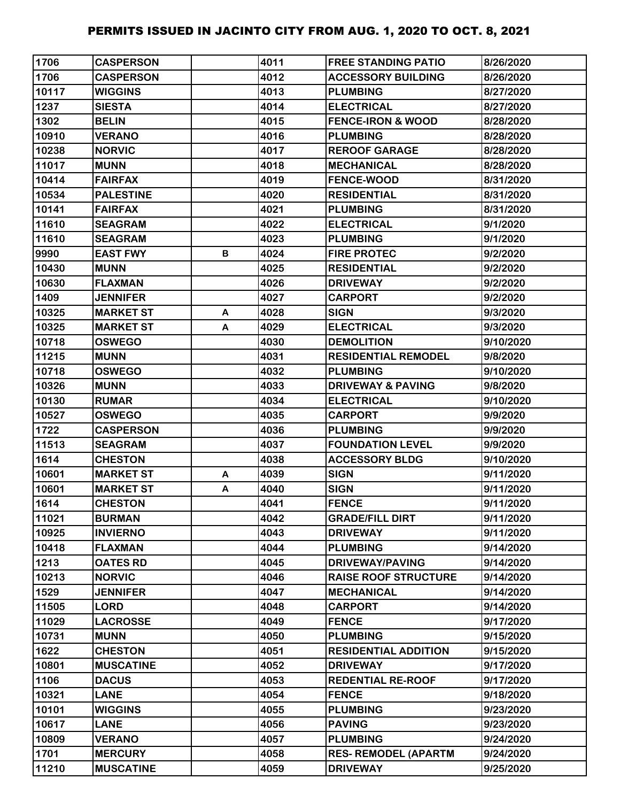| 1706  | <b>CASPERSON</b> |   | 4011 | <b>FREE STANDING PATIO</b>   | 8/26/2020 |
|-------|------------------|---|------|------------------------------|-----------|
| 1706  | <b>CASPERSON</b> |   | 4012 | <b>ACCESSORY BUILDING</b>    | 8/26/2020 |
| 10117 | <b>WIGGINS</b>   |   | 4013 | <b>PLUMBING</b>              | 8/27/2020 |
| 1237  | <b>SIESTA</b>    |   | 4014 | <b>ELECTRICAL</b>            | 8/27/2020 |
| 1302  | <b>BELIN</b>     |   | 4015 | <b>FENCE-IRON &amp; WOOD</b> | 8/28/2020 |
| 10910 | <b>VERANO</b>    |   | 4016 | <b>PLUMBING</b>              | 8/28/2020 |
| 10238 | <b>NORVIC</b>    |   | 4017 | <b>REROOF GARAGE</b>         | 8/28/2020 |
| 11017 | <b>MUNN</b>      |   | 4018 | <b>MECHANICAL</b>            | 8/28/2020 |
| 10414 | <b>FAIRFAX</b>   |   | 4019 | <b>FENCE-WOOD</b>            | 8/31/2020 |
| 10534 | <b>PALESTINE</b> |   | 4020 | <b>RESIDENTIAL</b>           | 8/31/2020 |
| 10141 | <b>FAIRFAX</b>   |   | 4021 | <b>PLUMBING</b>              | 8/31/2020 |
| 11610 | <b>SEAGRAM</b>   |   | 4022 | <b>ELECTRICAL</b>            | 9/1/2020  |
| 11610 | <b>SEAGRAM</b>   |   | 4023 | <b>PLUMBING</b>              | 9/1/2020  |
| 9990  | <b>EAST FWY</b>  | В | 4024 | <b>FIRE PROTEC</b>           | 9/2/2020  |
| 10430 | <b>MUNN</b>      |   | 4025 | <b>RESIDENTIAL</b>           | 9/2/2020  |
| 10630 | <b>FLAXMAN</b>   |   | 4026 | <b>DRIVEWAY</b>              | 9/2/2020  |
| 1409  | <b>JENNIFER</b>  |   | 4027 | <b>CARPORT</b>               | 9/2/2020  |
| 10325 | <b>MARKET ST</b> | A | 4028 | <b>SIGN</b>                  | 9/3/2020  |
| 10325 | <b>MARKET ST</b> | A | 4029 | <b>ELECTRICAL</b>            | 9/3/2020  |
| 10718 | <b>OSWEGO</b>    |   | 4030 | <b>DEMOLITION</b>            | 9/10/2020 |
| 11215 | <b>MUNN</b>      |   | 4031 | <b>RESIDENTIAL REMODEL</b>   | 9/8/2020  |
| 10718 | <b>OSWEGO</b>    |   | 4032 | <b>PLUMBING</b>              | 9/10/2020 |
| 10326 | <b>MUNN</b>      |   | 4033 | <b>DRIVEWAY &amp; PAVING</b> | 9/8/2020  |
| 10130 | <b>RUMAR</b>     |   | 4034 | <b>ELECTRICAL</b>            | 9/10/2020 |
| 10527 | <b>OSWEGO</b>    |   | 4035 | <b>CARPORT</b>               | 9/9/2020  |
| 1722  | <b>CASPERSON</b> |   | 4036 | <b>PLUMBING</b>              | 9/9/2020  |
| 11513 | <b>SEAGRAM</b>   |   | 4037 | <b>FOUNDATION LEVEL</b>      | 9/9/2020  |
| 1614  | <b>CHESTON</b>   |   | 4038 | <b>ACCESSORY BLDG</b>        | 9/10/2020 |
| 10601 | <b>MARKET ST</b> | A | 4039 | <b>SIGN</b>                  | 9/11/2020 |
| 10601 | <b>MARKET ST</b> | A | 4040 | <b>SIGN</b>                  | 9/11/2020 |
| 1614  | <b>CHESTON</b>   |   | 4041 | <b>FENCE</b>                 | 9/11/2020 |
| 11021 | <b>BURMAN</b>    |   | 4042 | <b>GRADE/FILL DIRT</b>       | 9/11/2020 |
| 10925 | <b>INVIERNO</b>  |   | 4043 | <b>DRIVEWAY</b>              | 9/11/2020 |
| 10418 | <b>FLAXMAN</b>   |   | 4044 | <b>PLUMBING</b>              | 9/14/2020 |
| 1213  | <b>OATES RD</b>  |   | 4045 | <b>DRIVEWAY/PAVING</b>       | 9/14/2020 |
| 10213 | <b>NORVIC</b>    |   | 4046 | <b>RAISE ROOF STRUCTURE</b>  | 9/14/2020 |
| 1529  | <b>JENNIFER</b>  |   | 4047 | <b>MECHANICAL</b>            | 9/14/2020 |
| 11505 | <b>LORD</b>      |   | 4048 | <b>CARPORT</b>               | 9/14/2020 |
| 11029 | <b>LACROSSE</b>  |   | 4049 | <b>FENCE</b>                 | 9/17/2020 |
| 10731 | <b>MUNN</b>      |   | 4050 | <b>PLUMBING</b>              | 9/15/2020 |
| 1622  | <b>CHESTON</b>   |   | 4051 | <b>RESIDENTIAL ADDITION</b>  | 9/15/2020 |
| 10801 | <b>MUSCATINE</b> |   | 4052 | <b>DRIVEWAY</b>              | 9/17/2020 |
| 1106  | <b>DACUS</b>     |   | 4053 | <b>REDENTIAL RE-ROOF</b>     | 9/17/2020 |
| 10321 | <b>LANE</b>      |   | 4054 | <b>FENCE</b>                 | 9/18/2020 |
| 10101 | <b>WIGGINS</b>   |   | 4055 | <b>PLUMBING</b>              | 9/23/2020 |
| 10617 | <b>LANE</b>      |   | 4056 | <b>PAVING</b>                | 9/23/2020 |
| 10809 | <b>VERANO</b>    |   | 4057 | <b>PLUMBING</b>              | 9/24/2020 |
| 1701  | <b>MERCURY</b>   |   | 4058 | <b>RES- REMODEL (APARTM</b>  | 9/24/2020 |
| 11210 | <b>MUSCATINE</b> |   | 4059 | <b>DRIVEWAY</b>              | 9/25/2020 |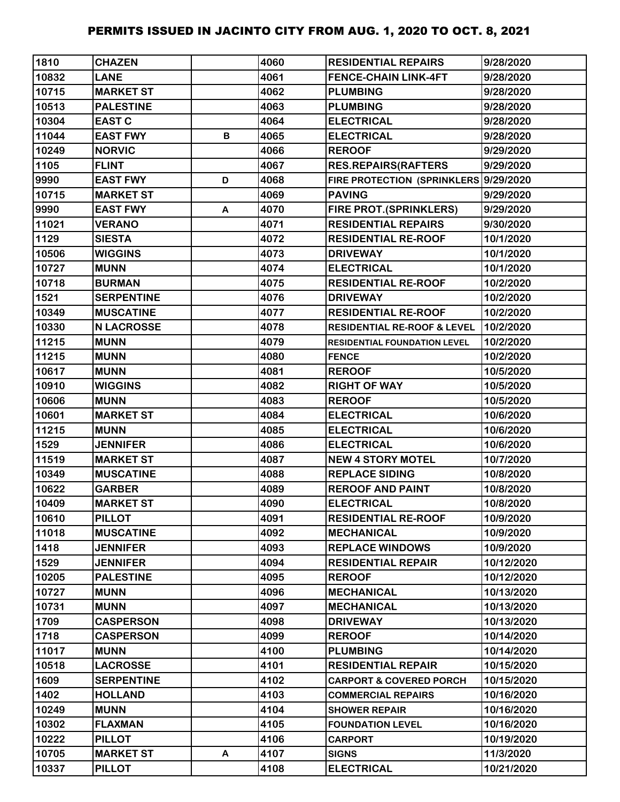| 1810  | <b>CHAZEN</b>     |   | 4060 | <b>RESIDENTIAL REPAIRS</b>             | 9/28/2020  |
|-------|-------------------|---|------|----------------------------------------|------------|
| 10832 | <b>LANE</b>       |   | 4061 | <b>FENCE-CHAIN LINK-4FT</b>            | 9/28/2020  |
| 10715 | <b>MARKET ST</b>  |   | 4062 | <b>PLUMBING</b>                        | 9/28/2020  |
| 10513 | <b>PALESTINE</b>  |   | 4063 | <b>PLUMBING</b>                        | 9/28/2020  |
| 10304 | <b>EAST C</b>     |   | 4064 | <b>ELECTRICAL</b>                      | 9/28/2020  |
| 11044 | <b>EAST FWY</b>   | В | 4065 | <b>ELECTRICAL</b>                      | 9/28/2020  |
| 10249 | <b>NORVIC</b>     |   | 4066 | <b>REROOF</b>                          | 9/29/2020  |
| 1105  | <b>FLINT</b>      |   | 4067 | <b>RES.REPAIRS(RAFTERS</b>             | 9/29/2020  |
| 9990  | <b>EAST FWY</b>   | D | 4068 | FIRE PROTECTION (SPRINKLERS 9/29/2020  |            |
| 10715 | <b>MARKET ST</b>  |   | 4069 | <b>PAVING</b>                          | 9/29/2020  |
| 9990  | <b>EAST FWY</b>   | A | 4070 | <b>FIRE PROT. (SPRINKLERS)</b>         | 9/29/2020  |
| 11021 | <b>VERANO</b>     |   | 4071 | <b>RESIDENTIAL REPAIRS</b>             | 9/30/2020  |
| 1129  | <b>SIESTA</b>     |   | 4072 | <b>RESIDENTIAL RE-ROOF</b>             | 10/1/2020  |
| 10506 | <b>WIGGINS</b>    |   | 4073 | <b>DRIVEWAY</b>                        | 10/1/2020  |
| 10727 | <b>MUNN</b>       |   | 4074 | <b>ELECTRICAL</b>                      | 10/1/2020  |
| 10718 | <b>BURMAN</b>     |   | 4075 | <b>RESIDENTIAL RE-ROOF</b>             | 10/2/2020  |
| 1521  | <b>SERPENTINE</b> |   | 4076 | <b>DRIVEWAY</b>                        | 10/2/2020  |
| 10349 | <b>MUSCATINE</b>  |   | 4077 | <b>RESIDENTIAL RE-ROOF</b>             | 10/2/2020  |
| 10330 | <b>N LACROSSE</b> |   | 4078 | <b>RESIDENTIAL RE-ROOF &amp; LEVEL</b> | 10/2/2020  |
| 11215 | <b>MUNN</b>       |   | 4079 | <b>RESIDENTIAL FOUNDATION LEVEL</b>    | 10/2/2020  |
| 11215 | <b>MUNN</b>       |   | 4080 | <b>FENCE</b>                           | 10/2/2020  |
| 10617 | <b>MUNN</b>       |   | 4081 | <b>REROOF</b>                          | 10/5/2020  |
| 10910 | <b>WIGGINS</b>    |   | 4082 | <b>RIGHT OF WAY</b>                    | 10/5/2020  |
| 10606 | <b>MUNN</b>       |   | 4083 | <b>REROOF</b>                          | 10/5/2020  |
| 10601 | <b>MARKET ST</b>  |   | 4084 | <b>ELECTRICAL</b>                      | 10/6/2020  |
| 11215 | <b>MUNN</b>       |   | 4085 | <b>ELECTRICAL</b>                      | 10/6/2020  |
| 1529  | <b>JENNIFER</b>   |   | 4086 | <b>ELECTRICAL</b>                      | 10/6/2020  |
| 11519 | <b>MARKET ST</b>  |   | 4087 | <b>NEW 4 STORY MOTEL</b>               | 10/7/2020  |
| 10349 | <b>MUSCATINE</b>  |   | 4088 | <b>REPLACE SIDING</b>                  | 10/8/2020  |
| 10622 | <b>GARBER</b>     |   | 4089 | <b>REROOF AND PAINT</b>                | 10/8/2020  |
| 10409 | <b>MARKET ST</b>  |   | 4090 | <b>ELECTRICAL</b>                      | 10/8/2020  |
| 10610 | <b>PILLOT</b>     |   | 4091 | <b>RESIDENTIAL RE-ROOF</b>             | 10/9/2020  |
| 11018 | <b>MUSCATINE</b>  |   | 4092 | <b>MECHANICAL</b>                      | 10/9/2020  |
| 1418  | <b>JENNIFER</b>   |   | 4093 | <b>REPLACE WINDOWS</b>                 | 10/9/2020  |
| 1529  | <b>JENNIFER</b>   |   | 4094 | <b>RESIDENTIAL REPAIR</b>              | 10/12/2020 |
| 10205 | <b>PALESTINE</b>  |   | 4095 | <b>REROOF</b>                          | 10/12/2020 |
| 10727 | <b>MUNN</b>       |   | 4096 | <b>MECHANICAL</b>                      | 10/13/2020 |
| 10731 | <b>MUNN</b>       |   | 4097 | <b>MECHANICAL</b>                      | 10/13/2020 |
| 1709  | <b>CASPERSON</b>  |   | 4098 | <b>DRIVEWAY</b>                        | 10/13/2020 |
| 1718  | <b>CASPERSON</b>  |   | 4099 | <b>REROOF</b>                          | 10/14/2020 |
| 11017 | <b>MUNN</b>       |   | 4100 | <b>PLUMBING</b>                        | 10/14/2020 |
| 10518 | <b>LACROSSE</b>   |   | 4101 | <b>RESIDENTIAL REPAIR</b>              | 10/15/2020 |
| 1609  | <b>SERPENTINE</b> |   | 4102 | <b>CARPORT &amp; COVERED PORCH</b>     | 10/15/2020 |
| 1402  | <b>HOLLAND</b>    |   | 4103 | <b>COMMERCIAL REPAIRS</b>              | 10/16/2020 |
| 10249 | <b>MUNN</b>       |   | 4104 | <b>SHOWER REPAIR</b>                   | 10/16/2020 |
| 10302 | <b>FLAXMAN</b>    |   | 4105 | <b>FOUNDATION LEVEL</b>                | 10/16/2020 |
| 10222 | <b>PILLOT</b>     |   | 4106 | <b>CARPORT</b>                         | 10/19/2020 |
| 10705 | <b>MARKET ST</b>  | A | 4107 | <b>SIGNS</b>                           | 11/3/2020  |
| 10337 | <b>PILLOT</b>     |   | 4108 | <b>ELECTRICAL</b>                      | 10/21/2020 |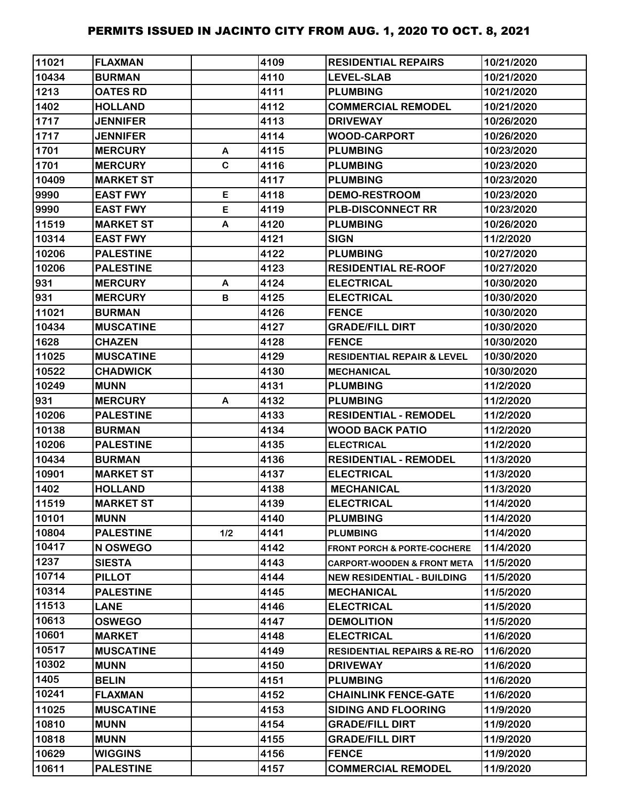| 11021 | <b>FLAXMAN</b>   |     | 4109 | <b>RESIDENTIAL REPAIRS</b>             | 10/21/2020 |
|-------|------------------|-----|------|----------------------------------------|------------|
| 10434 | <b>BURMAN</b>    |     | 4110 | <b>LEVEL-SLAB</b>                      | 10/21/2020 |
| 1213  | <b>OATES RD</b>  |     | 4111 | <b>PLUMBING</b>                        | 10/21/2020 |
| 1402  | <b>HOLLAND</b>   |     | 4112 | <b>COMMERCIAL REMODEL</b>              | 10/21/2020 |
| 1717  | <b>JENNIFER</b>  |     | 4113 | <b>DRIVEWAY</b>                        | 10/26/2020 |
| 1717  | <b>JENNIFER</b>  |     | 4114 | <b>WOOD-CARPORT</b>                    | 10/26/2020 |
| 1701  | <b>MERCURY</b>   | A   | 4115 | <b>PLUMBING</b>                        | 10/23/2020 |
| 1701  | <b>MERCURY</b>   | C   | 4116 | <b>PLUMBING</b>                        | 10/23/2020 |
| 10409 | <b>MARKET ST</b> |     | 4117 | <b>PLUMBING</b>                        | 10/23/2020 |
| 9990  | <b>EAST FWY</b>  | E   | 4118 | <b>DEMO-RESTROOM</b>                   | 10/23/2020 |
| 9990  | <b>EAST FWY</b>  | E   | 4119 | <b>PLB-DISCONNECT RR</b>               | 10/23/2020 |
| 11519 | <b>MARKET ST</b> | A   | 4120 | <b>PLUMBING</b>                        | 10/26/2020 |
| 10314 | <b>EAST FWY</b>  |     | 4121 | <b>SIGN</b>                            | 11/2/2020  |
| 10206 | <b>PALESTINE</b> |     | 4122 | <b>PLUMBING</b>                        | 10/27/2020 |
| 10206 | <b>PALESTINE</b> |     | 4123 | <b>RESIDENTIAL RE-ROOF</b>             | 10/27/2020 |
| 931   | <b>MERCURY</b>   | A   | 4124 | <b>ELECTRICAL</b>                      | 10/30/2020 |
| 931   | <b>MERCURY</b>   | В   | 4125 | <b>ELECTRICAL</b>                      | 10/30/2020 |
| 11021 | <b>BURMAN</b>    |     | 4126 | <b>FENCE</b>                           | 10/30/2020 |
| 10434 | <b>MUSCATINE</b> |     | 4127 | <b>GRADE/FILL DIRT</b>                 | 10/30/2020 |
| 1628  | <b>CHAZEN</b>    |     | 4128 | <b>FENCE</b>                           | 10/30/2020 |
| 11025 | <b>MUSCATINE</b> |     | 4129 | <b>RESIDENTIAL REPAIR &amp; LEVEL</b>  | 10/30/2020 |
| 10522 | <b>CHADWICK</b>  |     | 4130 | <b>MECHANICAL</b>                      | 10/30/2020 |
| 10249 | <b>MUNN</b>      |     | 4131 | <b>PLUMBING</b>                        | 11/2/2020  |
| 931   | <b>MERCURY</b>   | A   | 4132 | <b>PLUMBING</b>                        | 11/2/2020  |
| 10206 | <b>PALESTINE</b> |     | 4133 | <b>RESIDENTIAL - REMODEL</b>           | 11/2/2020  |
| 10138 | <b>BURMAN</b>    |     | 4134 | <b>WOOD BACK PATIO</b>                 | 11/2/2020  |
| 10206 | <b>PALESTINE</b> |     | 4135 | <b>ELECTRICAL</b>                      | 11/2/2020  |
| 10434 | <b>BURMAN</b>    |     | 4136 | <b>RESIDENTIAL - REMODEL</b>           | 11/3/2020  |
| 10901 | <b>MARKET ST</b> |     | 4137 | <b>ELECTRICAL</b>                      | 11/3/2020  |
| 1402  | <b>HOLLAND</b>   |     | 4138 | <b>MECHANICAL</b>                      | 11/3/2020  |
| 11519 | <b>MARKET ST</b> |     | 4139 | <b>ELECTRICAL</b>                      | 11/4/2020  |
| 10101 | <b>MUNN</b>      |     | 4140 | <b>PLUMBING</b>                        | 11/4/2020  |
| 10804 | <b>PALESTINE</b> | 1/2 | 4141 | <b>PLUMBING</b>                        | 11/4/2020  |
| 10417 | N OSWEGO         |     | 4142 | <b>FRONT PORCH &amp; PORTE-COCHERE</b> | 11/4/2020  |
| 1237  | <b>SIESTA</b>    |     | 4143 | <b>CARPORT-WOODEN &amp; FRONT META</b> | 11/5/2020  |
| 10714 | <b>PILLOT</b>    |     | 4144 | <b>NEW RESIDENTIAL - BUILDING</b>      | 11/5/2020  |
| 10314 | <b>PALESTINE</b> |     | 4145 | <b>MECHANICAL</b>                      | 11/5/2020  |
| 11513 | <b>LANE</b>      |     | 4146 | <b>ELECTRICAL</b>                      | 11/5/2020  |
| 10613 | <b>OSWEGO</b>    |     | 4147 | <b>DEMOLITION</b>                      | 11/5/2020  |
| 10601 | <b>MARKET</b>    |     | 4148 | <b>ELECTRICAL</b>                      | 11/6/2020  |
| 10517 | <b>MUSCATINE</b> |     | 4149 | <b>RESIDENTIAL REPAIRS &amp; RE-RO</b> | 11/6/2020  |
| 10302 | <b>MUNN</b>      |     | 4150 | <b>DRIVEWAY</b>                        | 11/6/2020  |
| 1405  | <b>BELIN</b>     |     | 4151 | <b>PLUMBING</b>                        | 11/6/2020  |
| 10241 | <b>FLAXMAN</b>   |     | 4152 | <b>CHAINLINK FENCE-GATE</b>            | 11/6/2020  |
| 11025 | <b>MUSCATINE</b> |     | 4153 | <b>SIDING AND FLOORING</b>             | 11/9/2020  |
| 10810 | <b>MUNN</b>      |     | 4154 | <b>GRADE/FILL DIRT</b>                 | 11/9/2020  |
| 10818 | <b>MUNN</b>      |     | 4155 | <b>GRADE/FILL DIRT</b>                 | 11/9/2020  |
| 10629 | <b>WIGGINS</b>   |     | 4156 | <b>FENCE</b>                           | 11/9/2020  |
| 10611 | <b>PALESTINE</b> |     | 4157 | <b>COMMERCIAL REMODEL</b>              | 11/9/2020  |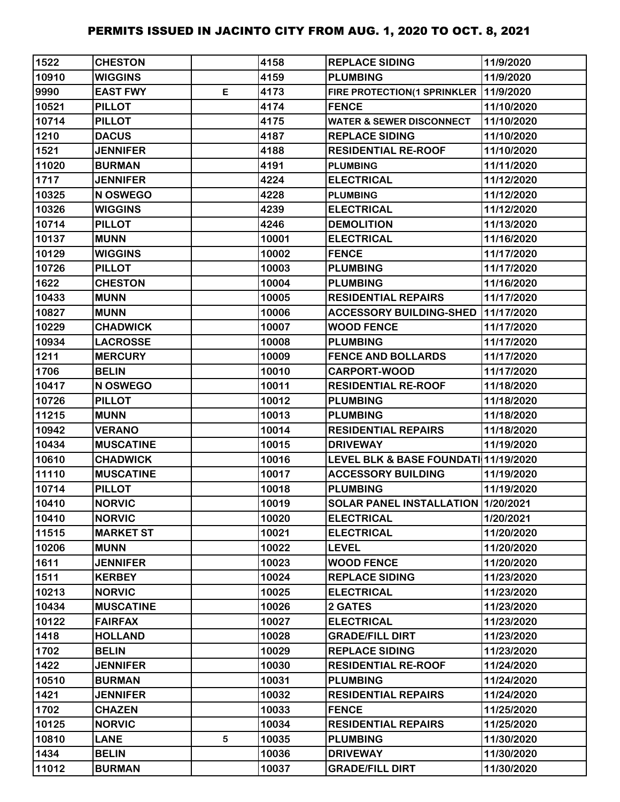| 1522  | <b>CHESTON</b>   |   | 4158  | <b>REPLACE SIDING</b>                 | 11/9/2020  |
|-------|------------------|---|-------|---------------------------------------|------------|
| 10910 | <b>WIGGINS</b>   |   | 4159  | <b>PLUMBING</b>                       | 11/9/2020  |
| 9990  | <b>EAST FWY</b>  | E | 4173  | FIRE PROTECTION(1 SPRINKLER 11/9/2020 |            |
| 10521 | <b>PILLOT</b>    |   | 4174  | <b>FENCE</b>                          | 11/10/2020 |
| 10714 | <b>PILLOT</b>    |   | 4175  | <b>WATER &amp; SEWER DISCONNECT</b>   | 11/10/2020 |
| 1210  | <b>DACUS</b>     |   | 4187  | <b>REPLACE SIDING</b>                 | 11/10/2020 |
| 1521  | <b>JENNIFER</b>  |   | 4188  | <b>RESIDENTIAL RE-ROOF</b>            | 11/10/2020 |
| 11020 | <b>BURMAN</b>    |   | 4191  | <b>PLUMBING</b>                       | 11/11/2020 |
| 1717  | <b>JENNIFER</b>  |   | 4224  | <b>ELECTRICAL</b>                     | 11/12/2020 |
| 10325 | N OSWEGO         |   | 4228  | <b>PLUMBING</b>                       | 11/12/2020 |
| 10326 | <b>WIGGINS</b>   |   | 4239  | <b>ELECTRICAL</b>                     | 11/12/2020 |
| 10714 | <b>PILLOT</b>    |   | 4246  | <b>DEMOLITION</b>                     | 11/13/2020 |
| 10137 | <b>MUNN</b>      |   | 10001 | <b>ELECTRICAL</b>                     | 11/16/2020 |
| 10129 | <b>WIGGINS</b>   |   | 10002 | <b>FENCE</b>                          | 11/17/2020 |
| 10726 | <b>PILLOT</b>    |   | 10003 | <b>PLUMBING</b>                       | 11/17/2020 |
| 1622  | <b>CHESTON</b>   |   | 10004 | <b>PLUMBING</b>                       | 11/16/2020 |
| 10433 | <b>MUNN</b>      |   | 10005 | <b>RESIDENTIAL REPAIRS</b>            | 11/17/2020 |
| 10827 | <b>MUNN</b>      |   | 10006 | <b>ACCESSORY BUILDING-SHED</b>        | 11/17/2020 |
| 10229 | <b>CHADWICK</b>  |   | 10007 | <b>WOOD FENCE</b>                     | 11/17/2020 |
| 10934 | <b>LACROSSE</b>  |   | 10008 | <b>PLUMBING</b>                       | 11/17/2020 |
| 1211  | <b>MERCURY</b>   |   | 10009 | <b>FENCE AND BOLLARDS</b>             | 11/17/2020 |
| 1706  | <b>BELIN</b>     |   | 10010 | <b>CARPORT-WOOD</b>                   | 11/17/2020 |
| 10417 | N OSWEGO         |   | 10011 | <b>RESIDENTIAL RE-ROOF</b>            | 11/18/2020 |
| 10726 | <b>PILLOT</b>    |   | 10012 | <b>PLUMBING</b>                       | 11/18/2020 |
| 11215 | <b>MUNN</b>      |   | 10013 | <b>PLUMBING</b>                       | 11/18/2020 |
| 10942 | <b>VERANO</b>    |   | 10014 | <b>RESIDENTIAL REPAIRS</b>            | 11/18/2020 |
| 10434 | <b>MUSCATINE</b> |   | 10015 | <b>DRIVEWAY</b>                       | 11/19/2020 |
| 10610 | <b>CHADWICK</b>  |   | 10016 | LEVEL BLK & BASE FOUNDATI 11/19/2020  |            |
| 11110 | <b>MUSCATINE</b> |   | 10017 | <b>ACCESSORY BUILDING</b>             | 11/19/2020 |
| 10714 | <b>PILLOT</b>    |   | 10018 | <b>PLUMBING</b>                       | 11/19/2020 |
| 10410 | <b>NORVIC</b>    |   | 10019 | SOLAR PANEL INSTALLATION 1/20/2021    |            |
| 10410 | <b>NORVIC</b>    |   | 10020 | <b>ELECTRICAL</b>                     | 1/20/2021  |
| 11515 | <b>MARKET ST</b> |   | 10021 | <b>ELECTRICAL</b>                     | 11/20/2020 |
| 10206 | <b>MUNN</b>      |   | 10022 | <b>LEVEL</b>                          | 11/20/2020 |
| 1611  | <b>JENNIFER</b>  |   | 10023 | <b>WOOD FENCE</b>                     | 11/20/2020 |
| 1511  | <b>KERBEY</b>    |   | 10024 | <b>REPLACE SIDING</b>                 | 11/23/2020 |
| 10213 | <b>NORVIC</b>    |   | 10025 | <b>ELECTRICAL</b>                     | 11/23/2020 |
| 10434 | <b>MUSCATINE</b> |   | 10026 | 2 GATES                               | 11/23/2020 |
| 10122 | <b>FAIRFAX</b>   |   | 10027 | <b>ELECTRICAL</b>                     | 11/23/2020 |
| 1418  | <b>HOLLAND</b>   |   | 10028 | <b>GRADE/FILL DIRT</b>                | 11/23/2020 |
| 1702  | <b>BELIN</b>     |   | 10029 | <b>REPLACE SIDING</b>                 | 11/23/2020 |
| 1422  | <b>JENNIFER</b>  |   | 10030 | <b>RESIDENTIAL RE-ROOF</b>            | 11/24/2020 |
| 10510 | <b>BURMAN</b>    |   | 10031 | <b>PLUMBING</b>                       | 11/24/2020 |
| 1421  | <b>JENNIFER</b>  |   | 10032 | <b>RESIDENTIAL REPAIRS</b>            | 11/24/2020 |
| 1702  | <b>CHAZEN</b>    |   | 10033 | <b>FENCE</b>                          | 11/25/2020 |
| 10125 | <b>NORVIC</b>    |   | 10034 | <b>RESIDENTIAL REPAIRS</b>            | 11/25/2020 |
| 10810 | <b>LANE</b>      | 5 | 10035 | <b>PLUMBING</b>                       | 11/30/2020 |
| 1434  | <b>BELIN</b>     |   | 10036 | <b>DRIVEWAY</b>                       | 11/30/2020 |
| 11012 | <b>BURMAN</b>    |   | 10037 | <b>GRADE/FILL DIRT</b>                | 11/30/2020 |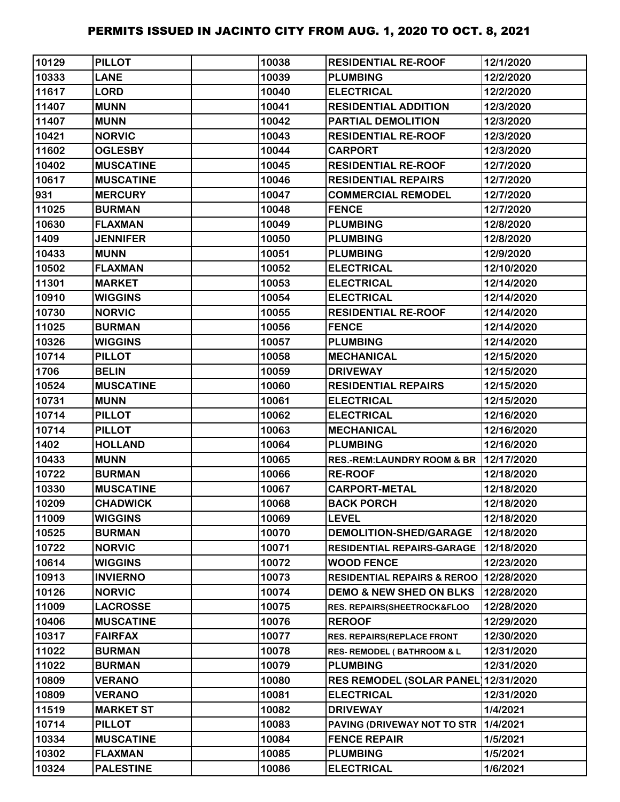| 10129 | <b>PILLOT</b>    | 10038 | <b>RESIDENTIAL RE-ROOF</b>             | 12/1/2020  |
|-------|------------------|-------|----------------------------------------|------------|
| 10333 | <b>LANE</b>      | 10039 | <b>PLUMBING</b>                        | 12/2/2020  |
| 11617 | LORD             | 10040 | <b>ELECTRICAL</b>                      | 12/2/2020  |
| 11407 | <b>MUNN</b>      | 10041 | <b>RESIDENTIAL ADDITION</b>            | 12/3/2020  |
| 11407 | <b>MUNN</b>      | 10042 | <b>PARTIAL DEMOLITION</b>              | 12/3/2020  |
| 10421 | <b>NORVIC</b>    | 10043 | <b>RESIDENTIAL RE-ROOF</b>             | 12/3/2020  |
| 11602 | <b>OGLESBY</b>   | 10044 | <b>CARPORT</b>                         | 12/3/2020  |
| 10402 | <b>MUSCATINE</b> | 10045 | <b>RESIDENTIAL RE-ROOF</b>             | 12/7/2020  |
| 10617 | <b>MUSCATINE</b> | 10046 | <b>RESIDENTIAL REPAIRS</b>             | 12/7/2020  |
| 931   | <b>MERCURY</b>   | 10047 | <b>COMMERCIAL REMODEL</b>              | 12/7/2020  |
| 11025 | <b>BURMAN</b>    | 10048 | <b>FENCE</b>                           | 12/7/2020  |
| 10630 | <b>FLAXMAN</b>   | 10049 | <b>PLUMBING</b>                        | 12/8/2020  |
| 1409  | <b>JENNIFER</b>  | 10050 | <b>PLUMBING</b>                        | 12/8/2020  |
| 10433 | <b>MUNN</b>      | 10051 | <b>PLUMBING</b>                        | 12/9/2020  |
| 10502 | <b>FLAXMAN</b>   | 10052 | <b>ELECTRICAL</b>                      | 12/10/2020 |
| 11301 | <b>MARKET</b>    | 10053 | <b>ELECTRICAL</b>                      | 12/14/2020 |
| 10910 | <b>WIGGINS</b>   | 10054 | <b>ELECTRICAL</b>                      | 12/14/2020 |
| 10730 | <b>NORVIC</b>    | 10055 | <b>RESIDENTIAL RE-ROOF</b>             | 12/14/2020 |
| 11025 | <b>BURMAN</b>    | 10056 | <b>FENCE</b>                           | 12/14/2020 |
| 10326 | <b>WIGGINS</b>   | 10057 | <b>PLUMBING</b>                        | 12/14/2020 |
| 10714 | <b>PILLOT</b>    | 10058 | <b>MECHANICAL</b>                      | 12/15/2020 |
| 1706  | <b>BELIN</b>     | 10059 | <b>DRIVEWAY</b>                        | 12/15/2020 |
| 10524 | <b>MUSCATINE</b> | 10060 | <b>RESIDENTIAL REPAIRS</b>             | 12/15/2020 |
| 10731 | <b>MUNN</b>      | 10061 | <b>ELECTRICAL</b>                      | 12/15/2020 |
| 10714 | <b>PILLOT</b>    | 10062 | <b>ELECTRICAL</b>                      | 12/16/2020 |
| 10714 | <b>PILLOT</b>    | 10063 | <b>MECHANICAL</b>                      | 12/16/2020 |
| 1402  | <b>HOLLAND</b>   | 10064 | <b>PLUMBING</b>                        | 12/16/2020 |
| 10433 | <b>MUNN</b>      | 10065 | <b>RES.-REM:LAUNDRY ROOM &amp; BR</b>  | 12/17/2020 |
| 10722 | <b>BURMAN</b>    | 10066 | <b>RE-ROOF</b>                         | 12/18/2020 |
| 10330 | <b>MUSCATINE</b> | 10067 | <b>CARPORT-METAL</b>                   | 12/18/2020 |
| 10209 | <b>CHADWICK</b>  | 10068 | <b>BACK PORCH</b>                      | 12/18/2020 |
| 11009 | <b>WIGGINS</b>   | 10069 | <b>LEVEL</b>                           | 12/18/2020 |
| 10525 | <b>BURMAN</b>    | 10070 | <b>DEMOLITION-SHED/GARAGE</b>          | 12/18/2020 |
| 10722 | <b>NORVIC</b>    | 10071 | <b>RESIDENTIAL REPAIRS-GARAGE</b>      | 12/18/2020 |
| 10614 | <b>WIGGINS</b>   | 10072 | <b>WOOD FENCE</b>                      | 12/23/2020 |
| 10913 | <b>INVIERNO</b>  | 10073 | RESIDENTIAL REPAIRS & REROO 12/28/2020 |            |
| 10126 | <b>NORVIC</b>    | 10074 | <b>DEMO &amp; NEW SHED ON BLKS</b>     | 12/28/2020 |
| 11009 | <b>LACROSSE</b>  | 10075 | <b>RES. REPAIRS(SHEETROCK&amp;FLOO</b> | 12/28/2020 |
| 10406 | <b>MUSCATINE</b> | 10076 | <b>REROOF</b>                          | 12/29/2020 |
| 10317 | <b>FAIRFAX</b>   | 10077 | RES. REPAIRS(REPLACE FRONT             | 12/30/2020 |
| 11022 | <b>BURMAN</b>    | 10078 | <b>RES- REMODEL (BATHROOM &amp; L</b>  | 12/31/2020 |
| 11022 | <b>BURMAN</b>    | 10079 | <b>PLUMBING</b>                        | 12/31/2020 |
| 10809 | <b>VERANO</b>    | 10080 | <b>RES REMODEL (SOLAR PANEL)</b>       | 12/31/2020 |
| 10809 | <b>VERANO</b>    | 10081 | <b>ELECTRICAL</b>                      | 12/31/2020 |
| 11519 | <b>MARKET ST</b> | 10082 | <b>DRIVEWAY</b>                        | 1/4/2021   |
| 10714 | <b>PILLOT</b>    | 10083 | PAVING (DRIVEWAY NOT TO STR            | 1/4/2021   |
| 10334 | <b>MUSCATINE</b> | 10084 | <b>FENCE REPAIR</b>                    | 1/5/2021   |
| 10302 | <b>FLAXMAN</b>   | 10085 | <b>PLUMBING</b>                        | 1/5/2021   |
| 10324 | <b>PALESTINE</b> | 10086 | <b>ELECTRICAL</b>                      | 1/6/2021   |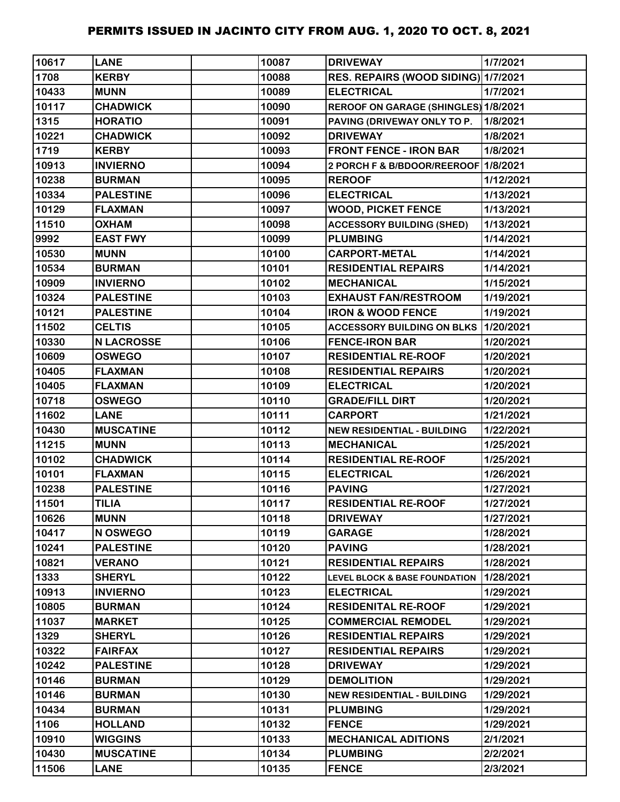| 10617 | <b>LANE</b>       | 10087 | <b>DRIVEWAY</b>                          | 1/7/2021  |
|-------|-------------------|-------|------------------------------------------|-----------|
| 1708  | <b>KERBY</b>      | 10088 | RES. REPAIRS (WOOD SIDING) 1/7/2021      |           |
| 10433 | <b>MUNN</b>       | 10089 | <b>ELECTRICAL</b>                        | 1/7/2021  |
| 10117 | <b>CHADWICK</b>   | 10090 | REROOF ON GARAGE (SHINGLES) 1/8/2021     |           |
| 1315  | <b>HORATIO</b>    | 10091 | PAVING (DRIVEWAY ONLY TO P.              | 1/8/2021  |
| 10221 | <b>CHADWICK</b>   | 10092 | <b>DRIVEWAY</b>                          | 1/8/2021  |
| 1719  | <b>KERBY</b>      | 10093 | <b>FRONT FENCE - IRON BAR</b>            | 1/8/2021  |
| 10913 | <b>INVIERNO</b>   | 10094 | 2 PORCH F & B/BDOOR/REEROOF 1/8/2021     |           |
| 10238 | <b>BURMAN</b>     | 10095 | <b>REROOF</b>                            | 1/12/2021 |
| 10334 | <b>PALESTINE</b>  | 10096 | <b>ELECTRICAL</b>                        | 1/13/2021 |
| 10129 | <b>FLAXMAN</b>    | 10097 | <b>WOOD, PICKET FENCE</b>                | 1/13/2021 |
| 11510 | <b>OXHAM</b>      | 10098 | <b>ACCESSORY BUILDING (SHED)</b>         | 1/13/2021 |
| 9992  | <b>EAST FWY</b>   | 10099 | <b>PLUMBING</b>                          | 1/14/2021 |
| 10530 | <b>MUNN</b>       | 10100 | <b>CARPORT-METAL</b>                     | 1/14/2021 |
| 10534 | <b>BURMAN</b>     | 10101 | <b>RESIDENTIAL REPAIRS</b>               | 1/14/2021 |
| 10909 | <b>INVIERNO</b>   | 10102 | <b>MECHANICAL</b>                        | 1/15/2021 |
| 10324 | <b>PALESTINE</b>  | 10103 | <b>EXHAUST FAN/RESTROOM</b>              | 1/19/2021 |
| 10121 | <b>PALESTINE</b>  | 10104 | <b>IRON &amp; WOOD FENCE</b>             | 1/19/2021 |
| 11502 | <b>CELTIS</b>     | 10105 | <b>ACCESSORY BUILDING ON BLKS</b>        | 1/20/2021 |
| 10330 | <b>N LACROSSE</b> | 10106 | <b>FENCE-IRON BAR</b>                    | 1/20/2021 |
| 10609 | <b>OSWEGO</b>     | 10107 | <b>RESIDENTIAL RE-ROOF</b>               | 1/20/2021 |
| 10405 | <b>FLAXMAN</b>    | 10108 | <b>RESIDENTIAL REPAIRS</b>               | 1/20/2021 |
| 10405 | <b>FLAXMAN</b>    | 10109 | <b>ELECTRICAL</b>                        | 1/20/2021 |
| 10718 | <b>OSWEGO</b>     | 10110 | <b>GRADE/FILL DIRT</b>                   | 1/20/2021 |
| 11602 | <b>LANE</b>       | 10111 | <b>CARPORT</b>                           | 1/21/2021 |
| 10430 | <b>MUSCATINE</b>  | 10112 | <b>NEW RESIDENTIAL - BUILDING</b>        | 1/22/2021 |
| 11215 | <b>MUNN</b>       | 10113 | <b>MECHANICAL</b>                        | 1/25/2021 |
| 10102 | <b>CHADWICK</b>   | 10114 | <b>RESIDENTIAL RE-ROOF</b>               | 1/25/2021 |
| 10101 | <b>FLAXMAN</b>    | 10115 | <b>ELECTRICAL</b>                        | 1/26/2021 |
| 10238 | <b>PALESTINE</b>  | 10116 | <b>PAVING</b>                            | 1/27/2021 |
| 11501 | <b>TILIA</b>      | 10117 | <b>RESIDENTIAL RE-ROOF</b>               | 1/27/2021 |
| 10626 | <b>MUNN</b>       | 10118 | <b>DRIVEWAY</b>                          | 1/27/2021 |
| 10417 | N OSWEGO          | 10119 | <b>GARAGE</b>                            | 1/28/2021 |
| 10241 | <b>PALESTINE</b>  | 10120 | <b>PAVING</b>                            | 1/28/2021 |
| 10821 | <b>VERANO</b>     | 10121 | <b>RESIDENTIAL REPAIRS</b>               | 1/28/2021 |
| 1333  | <b>SHERYL</b>     | 10122 | <b>LEVEL BLOCK &amp; BASE FOUNDATION</b> | 1/28/2021 |
| 10913 | <b>INVIERNO</b>   | 10123 | <b>ELECTRICAL</b>                        | 1/29/2021 |
| 10805 | <b>BURMAN</b>     | 10124 | <b>RESIDENITAL RE-ROOF</b>               | 1/29/2021 |
| 11037 | <b>MARKET</b>     | 10125 | <b>COMMERCIAL REMODEL</b>                | 1/29/2021 |
| 1329  | <b>SHERYL</b>     | 10126 | <b>RESIDENTIAL REPAIRS</b>               | 1/29/2021 |
| 10322 | <b>FAIRFAX</b>    | 10127 | <b>RESIDENTIAL REPAIRS</b>               | 1/29/2021 |
| 10242 | <b>PALESTINE</b>  | 10128 | <b>DRIVEWAY</b>                          | 1/29/2021 |
| 10146 | <b>BURMAN</b>     | 10129 | <b>DEMOLITION</b>                        | 1/29/2021 |
| 10146 | <b>BURMAN</b>     | 10130 | <b>NEW RESIDENTIAL - BUILDING</b>        | 1/29/2021 |
| 10434 | <b>BURMAN</b>     | 10131 | <b>PLUMBING</b>                          | 1/29/2021 |
| 1106  | <b>HOLLAND</b>    | 10132 | <b>FENCE</b>                             | 1/29/2021 |
| 10910 | <b>WIGGINS</b>    | 10133 | <b>MECHANICAL ADITIONS</b>               | 2/1/2021  |
| 10430 | <b>MUSCATINE</b>  | 10134 | <b>PLUMBING</b>                          | 2/2/2021  |
| 11506 | <b>LANE</b>       | 10135 | <b>FENCE</b>                             | 2/3/2021  |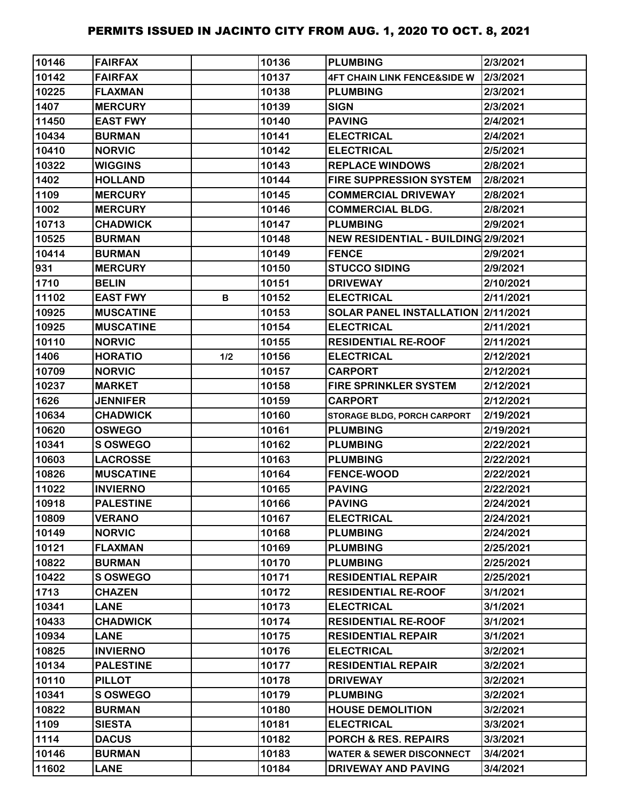| 10146 | <b>FAIRFAX</b>   |     | 10136 | <b>PLUMBING</b>                            | 2/3/2021  |
|-------|------------------|-----|-------|--------------------------------------------|-----------|
| 10142 | <b>FAIRFAX</b>   |     | 10137 | <b>4FT CHAIN LINK FENCE&amp;SIDE W</b>     | 2/3/2021  |
| 10225 | <b>FLAXMAN</b>   |     | 10138 | <b>PLUMBING</b>                            | 2/3/2021  |
| 1407  | <b>MERCURY</b>   |     | 10139 | <b>SIGN</b>                                | 2/3/2021  |
| 11450 | <b>EAST FWY</b>  |     | 10140 | <b>PAVING</b>                              | 2/4/2021  |
| 10434 | <b>BURMAN</b>    |     | 10141 | <b>ELECTRICAL</b>                          | 2/4/2021  |
| 10410 | <b>NORVIC</b>    |     | 10142 | <b>ELECTRICAL</b>                          | 2/5/2021  |
| 10322 | <b>WIGGINS</b>   |     | 10143 | <b>REPLACE WINDOWS</b>                     | 2/8/2021  |
| 1402  | <b>HOLLAND</b>   |     | 10144 | <b>FIRE SUPPRESSION SYSTEM</b>             | 2/8/2021  |
| 1109  | <b>MERCURY</b>   |     | 10145 | <b>COMMERCIAL DRIVEWAY</b>                 | 2/8/2021  |
| 1002  | <b>MERCURY</b>   |     | 10146 | <b>COMMERCIAL BLDG.</b>                    | 2/8/2021  |
| 10713 | <b>CHADWICK</b>  |     | 10147 | <b>PLUMBING</b>                            | 2/9/2021  |
| 10525 | <b>BURMAN</b>    |     | 10148 | <b>NEW RESIDENTIAL - BUILDING 2/9/2021</b> |           |
| 10414 | <b>BURMAN</b>    |     | 10149 | <b>FENCE</b>                               | 2/9/2021  |
| 931   | <b>MERCURY</b>   |     | 10150 | <b>STUCCO SIDING</b>                       | 2/9/2021  |
| 1710  | <b>BELIN</b>     |     | 10151 | <b>DRIVEWAY</b>                            | 2/10/2021 |
| 11102 | <b>EAST FWY</b>  | B   | 10152 | <b>ELECTRICAL</b>                          | 2/11/2021 |
| 10925 | <b>MUSCATINE</b> |     | 10153 | SOLAR PANEL INSTALLATION 2/11/2021         |           |
| 10925 | <b>MUSCATINE</b> |     | 10154 | <b>ELECTRICAL</b>                          | 2/11/2021 |
| 10110 | <b>NORVIC</b>    |     | 10155 | <b>RESIDENTIAL RE-ROOF</b>                 | 2/11/2021 |
| 1406  | <b>HORATIO</b>   | 1/2 | 10156 | <b>ELECTRICAL</b>                          | 2/12/2021 |
| 10709 | <b>NORVIC</b>    |     | 10157 | <b>CARPORT</b>                             | 2/12/2021 |
| 10237 | <b>MARKET</b>    |     | 10158 | <b>FIRE SPRINKLER SYSTEM</b>               | 2/12/2021 |
| 1626  | <b>JENNIFER</b>  |     | 10159 | <b>CARPORT</b>                             | 2/12/2021 |
| 10634 | <b>CHADWICK</b>  |     | 10160 | <b>STORAGE BLDG, PORCH CARPORT</b>         | 2/19/2021 |
| 10620 | <b>OSWEGO</b>    |     | 10161 | <b>PLUMBING</b>                            | 2/19/2021 |
| 10341 | S OSWEGO         |     | 10162 | <b>PLUMBING</b>                            | 2/22/2021 |
| 10603 | <b>LACROSSE</b>  |     | 10163 | <b>PLUMBING</b>                            | 2/22/2021 |
| 10826 | <b>MUSCATINE</b> |     | 10164 | <b>FENCE-WOOD</b>                          | 2/22/2021 |
| 11022 | <b>INVIERNO</b>  |     | 10165 | <b>PAVING</b>                              | 2/22/2021 |
| 10918 | <b>PALESTINE</b> |     | 10166 | <b>PAVING</b>                              | 2/24/2021 |
| 10809 | <b>VERANO</b>    |     | 10167 | <b>ELECTRICAL</b>                          | 2/24/2021 |
| 10149 | <b>NORVIC</b>    |     | 10168 | <b>PLUMBING</b>                            | 2/24/2021 |
| 10121 | <b>FLAXMAN</b>   |     | 10169 | <b>PLUMBING</b>                            | 2/25/2021 |
| 10822 | <b>BURMAN</b>    |     | 10170 | <b>PLUMBING</b>                            | 2/25/2021 |
| 10422 | S OSWEGO         |     | 10171 | <b>RESIDENTIAL REPAIR</b>                  | 2/25/2021 |
| 1713  | <b>CHAZEN</b>    |     | 10172 | <b>RESIDENTIAL RE-ROOF</b>                 | 3/1/2021  |
| 10341 | <b>LANE</b>      |     | 10173 | <b>ELECTRICAL</b>                          | 3/1/2021  |
| 10433 | <b>CHADWICK</b>  |     | 10174 | <b>RESIDENTIAL RE-ROOF</b>                 | 3/1/2021  |
| 10934 | <b>LANE</b>      |     | 10175 | <b>RESIDENTIAL REPAIR</b>                  | 3/1/2021  |
| 10825 | <b>INVIERNO</b>  |     | 10176 | <b>ELECTRICAL</b>                          | 3/2/2021  |
| 10134 | <b>PALESTINE</b> |     | 10177 | <b>RESIDENTIAL REPAIR</b>                  | 3/2/2021  |
| 10110 | <b>PILLOT</b>    |     | 10178 | <b>DRIVEWAY</b>                            | 3/2/2021  |
| 10341 | <b>S OSWEGO</b>  |     | 10179 | <b>PLUMBING</b>                            | 3/2/2021  |
| 10822 | <b>BURMAN</b>    |     | 10180 | <b>HOUSE DEMOLITION</b>                    | 3/2/2021  |
| 1109  | <b>SIESTA</b>    |     | 10181 | <b>ELECTRICAL</b>                          | 3/3/2021  |
| 1114  | <b>DACUS</b>     |     | 10182 | PORCH & RES. REPAIRS                       | 3/3/2021  |
| 10146 | <b>BURMAN</b>    |     | 10183 | <b>WATER &amp; SEWER DISCONNECT</b>        | 3/4/2021  |
| 11602 | <b>LANE</b>      |     | 10184 | DRIVEWAY AND PAVING                        | 3/4/2021  |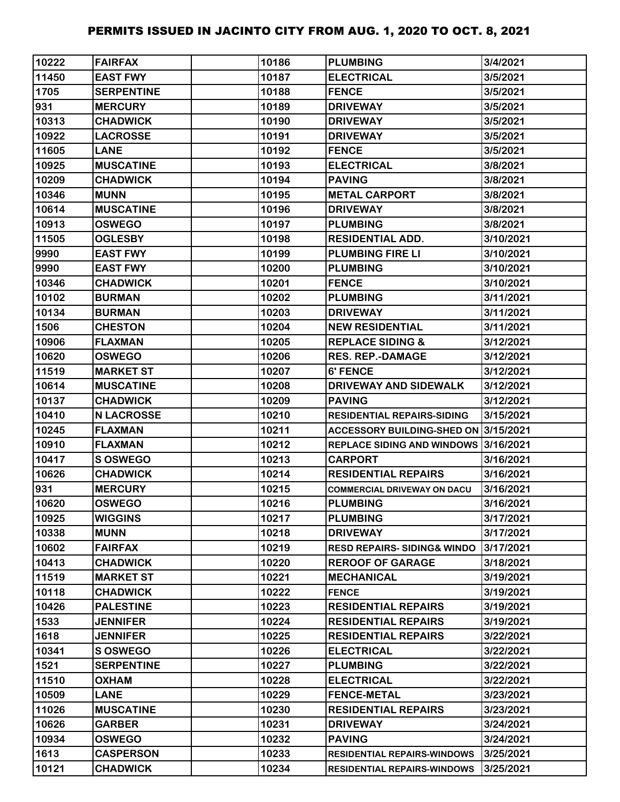| 10222 | <b>FAIRFAX</b>    | 10186 | <b>PLUMBING</b>                        | 3/4/2021  |
|-------|-------------------|-------|----------------------------------------|-----------|
| 11450 | <b>EAST FWY</b>   | 10187 | <b>ELECTRICAL</b>                      | 3/5/2021  |
| 1705  | <b>SERPENTINE</b> | 10188 | <b>FENCE</b>                           | 3/5/2021  |
| 931   | <b>MERCURY</b>    | 10189 | <b>DRIVEWAY</b>                        | 3/5/2021  |
| 10313 | <b>CHADWICK</b>   | 10190 | <b>DRIVEWAY</b>                        | 3/5/2021  |
| 10922 | <b>LACROSSE</b>   | 10191 | <b>DRIVEWAY</b>                        | 3/5/2021  |
| 11605 | <b>LANE</b>       | 10192 | <b>FENCE</b>                           | 3/5/2021  |
| 10925 | <b>MUSCATINE</b>  | 10193 | <b>ELECTRICAL</b>                      | 3/8/2021  |
| 10209 | <b>CHADWICK</b>   | 10194 | <b>PAVING</b>                          | 3/8/2021  |
| 10346 | <b>MUNN</b>       | 10195 | <b>METAL CARPORT</b>                   | 3/8/2021  |
| 10614 | <b>MUSCATINE</b>  | 10196 | <b>DRIVEWAY</b>                        | 3/8/2021  |
| 10913 | <b>OSWEGO</b>     | 10197 | <b>PLUMBING</b>                        | 3/8/2021  |
| 11505 | <b>OGLESBY</b>    | 10198 | <b>RESIDENTIAL ADD.</b>                | 3/10/2021 |
| 9990  | <b>EAST FWY</b>   | 10199 | <b>PLUMBING FIRE LI</b>                | 3/10/2021 |
| 9990  | <b>EAST FWY</b>   | 10200 | <b>PLUMBING</b>                        | 3/10/2021 |
| 10346 | <b>CHADWICK</b>   | 10201 | <b>FENCE</b>                           | 3/10/2021 |
| 10102 | <b>BURMAN</b>     | 10202 | <b>PLUMBING</b>                        | 3/11/2021 |
| 10134 | <b>BURMAN</b>     | 10203 | <b>DRIVEWAY</b>                        | 3/11/2021 |
| 1506  | <b>CHESTON</b>    | 10204 | <b>NEW RESIDENTIAL</b>                 | 3/11/2021 |
| 10906 | <b>FLAXMAN</b>    | 10205 | <b>REPLACE SIDING &amp;</b>            | 3/12/2021 |
| 10620 | <b>OSWEGO</b>     | 10206 | <b>RES. REP.-DAMAGE</b>                | 3/12/2021 |
| 11519 | <b>MARKET ST</b>  | 10207 | 6' FENCE                               | 3/12/2021 |
| 10614 | <b>MUSCATINE</b>  | 10208 | <b>DRIVEWAY AND SIDEWALK</b>           | 3/12/2021 |
| 10137 | <b>CHADWICK</b>   | 10209 | <b>PAVING</b>                          | 3/12/2021 |
| 10410 | <b>N LACROSSE</b> | 10210 | <b>RESIDENTIAL REPAIRS-SIDING</b>      | 3/15/2021 |
| 10245 | <b>FLAXMAN</b>    | 10211 | ACCESSORY BUILDING-SHED ON 3/15/2021   |           |
| 10910 | <b>FLAXMAN</b>    | 10212 | REPLACE SIDING AND WINDOWS 3/16/2021   |           |
| 10417 | S OSWEGO          | 10213 | <b>CARPORT</b>                         | 3/16/2021 |
| 10626 | <b>CHADWICK</b>   | 10214 | <b>RESIDENTIAL REPAIRS</b>             | 3/16/2021 |
| 931   | <b>MERCURY</b>    | 10215 | <b>COMMERCIAL DRIVEWAY ON DACU</b>     | 3/16/2021 |
| 10620 | <b>OSWEGO</b>     | 10216 | <b>PLUMBING</b>                        | 3/16/2021 |
| 10925 | <b>WIGGINS</b>    | 10217 | <b>PLUMBING</b>                        | 3/17/2021 |
| 10338 | <b>MUNN</b>       | 10218 | <b>DRIVEWAY</b>                        | 3/17/2021 |
| 10602 | <b>FAIRFAX</b>    | 10219 | <b>RESD REPAIRS- SIDING&amp; WINDO</b> | 3/17/2021 |
| 10413 | <b>CHADWICK</b>   | 10220 | <b>REROOF OF GARAGE</b>                | 3/18/2021 |
| 11519 | <b>MARKET ST</b>  | 10221 | <b>MECHANICAL</b>                      | 3/19/2021 |
| 10118 | <b>CHADWICK</b>   | 10222 | <b>FENCE</b>                           | 3/19/2021 |
| 10426 | <b>PALESTINE</b>  | 10223 | <b>RESIDENTIAL REPAIRS</b>             | 3/19/2021 |
| 1533  | <b>JENNIFER</b>   | 10224 | <b>RESIDENTIAL REPAIRS</b>             | 3/19/2021 |
| 1618  | <b>JENNIFER</b>   | 10225 | <b>RESIDENTIAL REPAIRS</b>             | 3/22/2021 |
| 10341 | <b>SOSWEGO</b>    | 10226 | <b>ELECTRICAL</b>                      | 3/22/2021 |
| 1521  | <b>SERPENTINE</b> | 10227 | <b>PLUMBING</b>                        | 3/22/2021 |
| 11510 | <b>OXHAM</b>      | 10228 | <b>ELECTRICAL</b>                      | 3/22/2021 |
| 10509 | <b>LANE</b>       | 10229 | <b>FENCE-METAL</b>                     | 3/23/2021 |
| 11026 | <b>MUSCATINE</b>  | 10230 | <b>RESIDENTIAL REPAIRS</b>             | 3/23/2021 |
| 10626 | <b>GARBER</b>     | 10231 | <b>DRIVEWAY</b>                        | 3/24/2021 |
| 10934 | <b>OSWEGO</b>     | 10232 | <b>PAVING</b>                          | 3/24/2021 |
| 1613  | <b>CASPERSON</b>  | 10233 | <b>RESIDENTIAL REPAIRS-WINDOWS</b>     | 3/25/2021 |
| 10121 | <b>CHADWICK</b>   | 10234 | <b>RESIDENTIAL REPAIRS-WINDOWS</b>     | 3/25/2021 |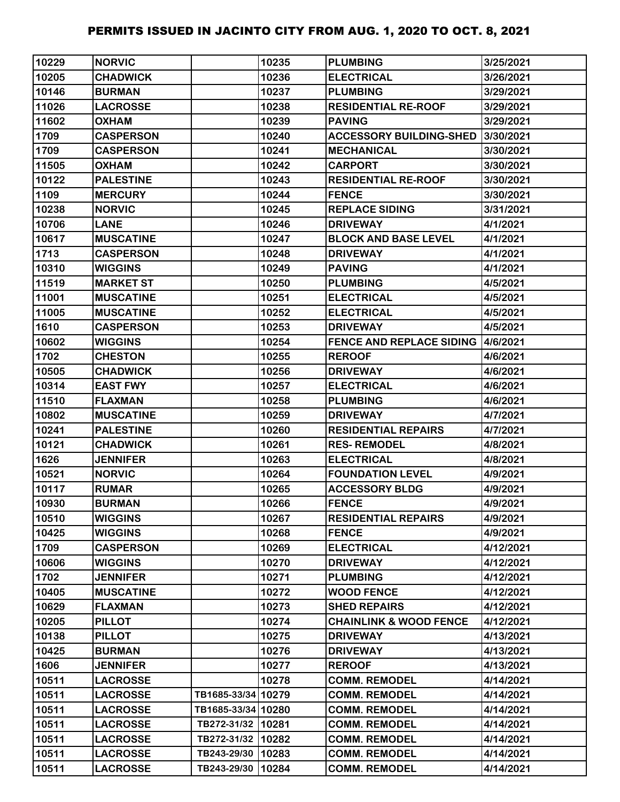| 10229 | <b>NORVIC</b>    |                    | 10235 | <b>PLUMBING</b>                           | 3/25/2021 |
|-------|------------------|--------------------|-------|-------------------------------------------|-----------|
| 10205 | <b>CHADWICK</b>  |                    | 10236 | <b>ELECTRICAL</b>                         | 3/26/2021 |
| 10146 | <b>BURMAN</b>    |                    | 10237 | <b>PLUMBING</b>                           | 3/29/2021 |
| 11026 | <b>LACROSSE</b>  |                    | 10238 | <b>RESIDENTIAL RE-ROOF</b>                | 3/29/2021 |
| 11602 | <b>OXHAM</b>     |                    | 10239 | <b>PAVING</b>                             | 3/29/2021 |
| 1709  | <b>CASPERSON</b> |                    | 10240 | <b>ACCESSORY BUILDING-SHED</b>            | 3/30/2021 |
| 1709  | <b>CASPERSON</b> |                    | 10241 | <b>MECHANICAL</b>                         | 3/30/2021 |
| 11505 | <b>OXHAM</b>     |                    | 10242 | <b>CARPORT</b>                            | 3/30/2021 |
| 10122 | <b>PALESTINE</b> |                    | 10243 | <b>RESIDENTIAL RE-ROOF</b>                | 3/30/2021 |
| 1109  | <b>MERCURY</b>   |                    | 10244 | <b>FENCE</b>                              | 3/30/2021 |
| 10238 | <b>NORVIC</b>    |                    | 10245 | <b>REPLACE SIDING</b>                     | 3/31/2021 |
| 10706 | <b>LANE</b>      |                    | 10246 | <b>DRIVEWAY</b>                           | 4/1/2021  |
| 10617 | <b>MUSCATINE</b> |                    | 10247 | <b>BLOCK AND BASE LEVEL</b>               | 4/1/2021  |
| 1713  | <b>CASPERSON</b> |                    | 10248 | <b>DRIVEWAY</b>                           | 4/1/2021  |
| 10310 | <b>WIGGINS</b>   |                    | 10249 | <b>PAVING</b>                             | 4/1/2021  |
| 11519 | <b>MARKET ST</b> |                    | 10250 | <b>PLUMBING</b>                           | 4/5/2021  |
| 11001 | <b>MUSCATINE</b> |                    | 10251 | <b>ELECTRICAL</b>                         | 4/5/2021  |
| 11005 | <b>MUSCATINE</b> |                    | 10252 | <b>ELECTRICAL</b>                         | 4/5/2021  |
| 1610  | <b>CASPERSON</b> |                    | 10253 | <b>DRIVEWAY</b>                           | 4/5/2021  |
| 10602 | <b>WIGGINS</b>   |                    | 10254 | <b>FENCE AND REPLACE SIDING 14/6/2021</b> |           |
| 1702  | <b>CHESTON</b>   |                    | 10255 | <b>REROOF</b>                             | 4/6/2021  |
| 10505 | <b>CHADWICK</b>  |                    | 10256 | <b>DRIVEWAY</b>                           | 4/6/2021  |
| 10314 | <b>EAST FWY</b>  |                    | 10257 | <b>ELECTRICAL</b>                         | 4/6/2021  |
| 11510 | <b>FLAXMAN</b>   |                    | 10258 | <b>PLUMBING</b>                           | 4/6/2021  |
| 10802 | <b>MUSCATINE</b> |                    | 10259 | <b>DRIVEWAY</b>                           | 4/7/2021  |
| 10241 | <b>PALESTINE</b> |                    | 10260 | <b>RESIDENTIAL REPAIRS</b>                | 4/7/2021  |
| 10121 | <b>CHADWICK</b>  |                    | 10261 | <b>RES-REMODEL</b>                        | 4/8/2021  |
| 1626  | <b>JENNIFER</b>  |                    | 10263 | <b>ELECTRICAL</b>                         | 4/8/2021  |
| 10521 | <b>NORVIC</b>    |                    | 10264 | <b>FOUNDATION LEVEL</b>                   | 4/9/2021  |
| 10117 | <b>RUMAR</b>     |                    | 10265 | <b>ACCESSORY BLDG</b>                     | 4/9/2021  |
| 10930 | <b>BURMAN</b>    |                    | 10266 | <b>FENCE</b>                              | 4/9/2021  |
| 10510 | <b>WIGGINS</b>   |                    | 10267 | <b>RESIDENTIAL REPAIRS</b>                | 4/9/2021  |
| 10425 | <b>WIGGINS</b>   |                    | 10268 | <b>FENCE</b>                              | 4/9/2021  |
| 1709  | <b>CASPERSON</b> |                    | 10269 | <b>ELECTRICAL</b>                         | 4/12/2021 |
| 10606 | <b>WIGGINS</b>   |                    | 10270 | <b>DRIVEWAY</b>                           | 4/12/2021 |
| 1702  | <b>JENNIFER</b>  |                    | 10271 | <b>PLUMBING</b>                           | 4/12/2021 |
| 10405 | <b>MUSCATINE</b> |                    | 10272 | <b>WOOD FENCE</b>                         | 4/12/2021 |
| 10629 | <b>FLAXMAN</b>   |                    | 10273 | <b>SHED REPAIRS</b>                       | 4/12/2021 |
| 10205 | <b>PILLOT</b>    |                    | 10274 | <b>CHAINLINK &amp; WOOD FENCE</b>         | 4/12/2021 |
| 10138 | <b>PILLOT</b>    |                    | 10275 | <b>DRIVEWAY</b>                           | 4/13/2021 |
| 10425 | <b>BURMAN</b>    |                    | 10276 | <b>DRIVEWAY</b>                           | 4/13/2021 |
| 1606  | <b>JENNIFER</b>  |                    | 10277 | <b>REROOF</b>                             | 4/13/2021 |
| 10511 | <b>LACROSSE</b>  |                    | 10278 | <b>COMM. REMODEL</b>                      | 4/14/2021 |
| 10511 | <b>LACROSSE</b>  | TB1685-33/34 10279 |       | <b>COMM. REMODEL</b>                      | 4/14/2021 |
| 10511 | <b>LACROSSE</b>  | TB1685-33/34 10280 |       | <b>COMM. REMODEL</b>                      | 4/14/2021 |
| 10511 | <b>LACROSSE</b>  | TB272-31/32 10281  |       | <b>COMM. REMODEL</b>                      | 4/14/2021 |
| 10511 | <b>LACROSSE</b>  | TB272-31/32 10282  |       | <b>COMM. REMODEL</b>                      | 4/14/2021 |
| 10511 | <b>LACROSSE</b>  | TB243-29/30        | 10283 | <b>COMM. REMODEL</b>                      | 4/14/2021 |
| 10511 | <b>LACROSSE</b>  | TB243-29/30 10284  |       | <b>COMM. REMODEL</b>                      | 4/14/2021 |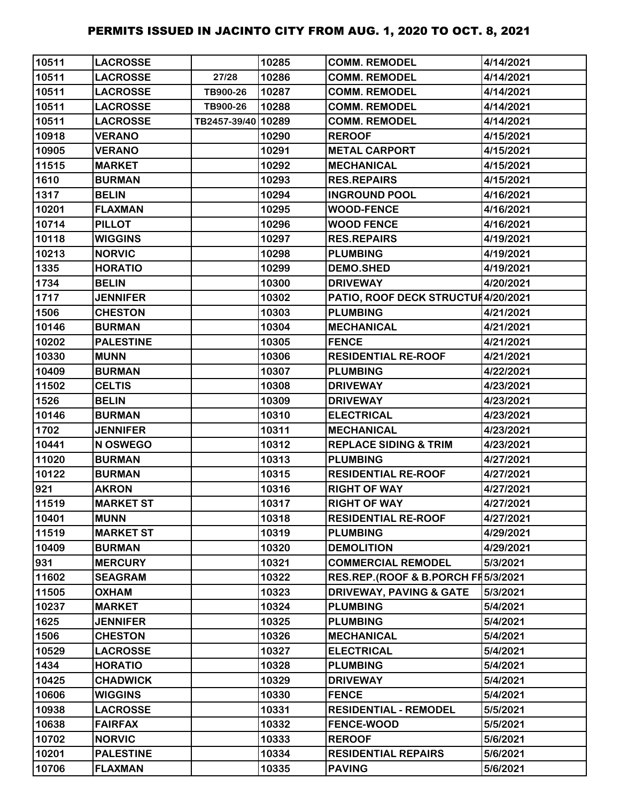| 10511 | <b>LACROSSE</b>  |                    | 10285 | <b>COMM. REMODEL</b>               | 4/14/2021 |
|-------|------------------|--------------------|-------|------------------------------------|-----------|
| 10511 | <b>LACROSSE</b>  | 27/28              | 10286 | <b>COMM. REMODEL</b>               | 4/14/2021 |
| 10511 | <b>LACROSSE</b>  | TB900-26           | 10287 | <b>COMM. REMODEL</b>               | 4/14/2021 |
| 10511 | <b>LACROSSE</b>  | TB900-26           | 10288 | <b>COMM. REMODEL</b>               | 4/14/2021 |
| 10511 | <b>LACROSSE</b>  | TB2457-39/40 10289 |       | <b>COMM. REMODEL</b>               | 4/14/2021 |
| 10918 | <b>VERANO</b>    |                    | 10290 | <b>REROOF</b>                      | 4/15/2021 |
| 10905 | <b>VERANO</b>    |                    | 10291 | <b>METAL CARPORT</b>               | 4/15/2021 |
| 11515 | <b>MARKET</b>    |                    | 10292 | <b>MECHANICAL</b>                  | 4/15/2021 |
| 1610  | <b>BURMAN</b>    |                    | 10293 | <b>RES.REPAIRS</b>                 | 4/15/2021 |
| 1317  | <b>BELIN</b>     |                    | 10294 | <b>INGROUND POOL</b>               | 4/16/2021 |
| 10201 | <b>FLAXMAN</b>   |                    | 10295 | <b>WOOD-FENCE</b>                  | 4/16/2021 |
| 10714 | <b>PILLOT</b>    |                    | 10296 | <b>WOOD FENCE</b>                  | 4/16/2021 |
| 10118 | <b>WIGGINS</b>   |                    | 10297 | <b>RES.REPAIRS</b>                 | 4/19/2021 |
| 10213 | <b>NORVIC</b>    |                    | 10298 | <b>PLUMBING</b>                    | 4/19/2021 |
| 1335  | <b>HORATIO</b>   |                    | 10299 | <b>DEMO.SHED</b>                   | 4/19/2021 |
| 1734  | <b>BELIN</b>     |                    | 10300 | <b>DRIVEWAY</b>                    | 4/20/2021 |
| 1717  | <b>JENNIFER</b>  |                    | 10302 | PATIO, ROOF DECK STRUCTUI4/20/2021 |           |
| 1506  | <b>CHESTON</b>   |                    | 10303 | <b>PLUMBING</b>                    | 4/21/2021 |
| 10146 | <b>BURMAN</b>    |                    | 10304 | <b>MECHANICAL</b>                  | 4/21/2021 |
| 10202 | <b>PALESTINE</b> |                    | 10305 | <b>FENCE</b>                       | 4/21/2021 |
| 10330 | <b>MUNN</b>      |                    | 10306 | <b>RESIDENTIAL RE-ROOF</b>         | 4/21/2021 |
| 10409 | <b>BURMAN</b>    |                    | 10307 | <b>PLUMBING</b>                    | 4/22/2021 |
| 11502 | <b>CELTIS</b>    |                    | 10308 | <b>DRIVEWAY</b>                    | 4/23/2021 |
| 1526  | <b>BELIN</b>     |                    | 10309 | <b>DRIVEWAY</b>                    | 4/23/2021 |
| 10146 | <b>BURMAN</b>    |                    | 10310 | <b>ELECTRICAL</b>                  | 4/23/2021 |
| 1702  | <b>JENNIFER</b>  |                    | 10311 | <b>MECHANICAL</b>                  | 4/23/2021 |
| 10441 | N OSWEGO         |                    | 10312 | <b>REPLACE SIDING &amp; TRIM</b>   | 4/23/2021 |
| 11020 | <b>BURMAN</b>    |                    | 10313 | <b>PLUMBING</b>                    | 4/27/2021 |
| 10122 | <b>BURMAN</b>    |                    | 10315 | <b>RESIDENTIAL RE-ROOF</b>         | 4/27/2021 |
| 921   | <b>AKRON</b>     |                    | 10316 | <b>RIGHT OF WAY</b>                | 4/27/2021 |
| 11519 | <b>MARKET ST</b> |                    | 10317 | <b>RIGHT OF WAY</b>                | 4/27/2021 |
| 10401 | <b>MUNN</b>      |                    | 10318 | <b>RESIDENTIAL RE-ROOF</b>         | 4/27/2021 |
| 11519 | <b>MARKET ST</b> |                    | 10319 | <b>PLUMBING</b>                    | 4/29/2021 |
| 10409 | <b>BURMAN</b>    |                    | 10320 | <b>DEMOLITION</b>                  | 4/29/2021 |
| 931   | <b>MERCURY</b>   |                    | 10321 | <b>COMMERCIAL REMODEL</b>          | 5/3/2021  |
| 11602 | <b>SEAGRAM</b>   |                    | 10322 | RES.REP.(ROOF & B.PORCH FI5/3/2021 |           |
| 11505 | <b>OXHAM</b>     |                    | 10323 | <b>DRIVEWAY, PAVING &amp; GATE</b> | 5/3/2021  |
| 10237 | <b>MARKET</b>    |                    | 10324 | <b>PLUMBING</b>                    | 5/4/2021  |
| 1625  | <b>JENNIFER</b>  |                    | 10325 | <b>PLUMBING</b>                    | 5/4/2021  |
| 1506  | <b>CHESTON</b>   |                    | 10326 | <b>MECHANICAL</b>                  | 5/4/2021  |
| 10529 | <b>LACROSSE</b>  |                    | 10327 | <b>ELECTRICAL</b>                  | 5/4/2021  |
| 1434  | <b>HORATIO</b>   |                    | 10328 | <b>PLUMBING</b>                    | 5/4/2021  |
| 10425 | <b>CHADWICK</b>  |                    | 10329 | <b>DRIVEWAY</b>                    | 5/4/2021  |
| 10606 | <b>WIGGINS</b>   |                    | 10330 | <b>FENCE</b>                       | 5/4/2021  |
| 10938 | <b>LACROSSE</b>  |                    | 10331 | <b>RESIDENTIAL - REMODEL</b>       | 5/5/2021  |
| 10638 | <b>FAIRFAX</b>   |                    | 10332 | <b>FENCE-WOOD</b>                  | 5/5/2021  |
| 10702 | <b>NORVIC</b>    |                    | 10333 | <b>REROOF</b>                      | 5/6/2021  |
| 10201 | <b>PALESTINE</b> |                    | 10334 | <b>RESIDENTIAL REPAIRS</b>         | 5/6/2021  |
| 10706 | <b>FLAXMAN</b>   |                    | 10335 | <b>PAVING</b>                      | 5/6/2021  |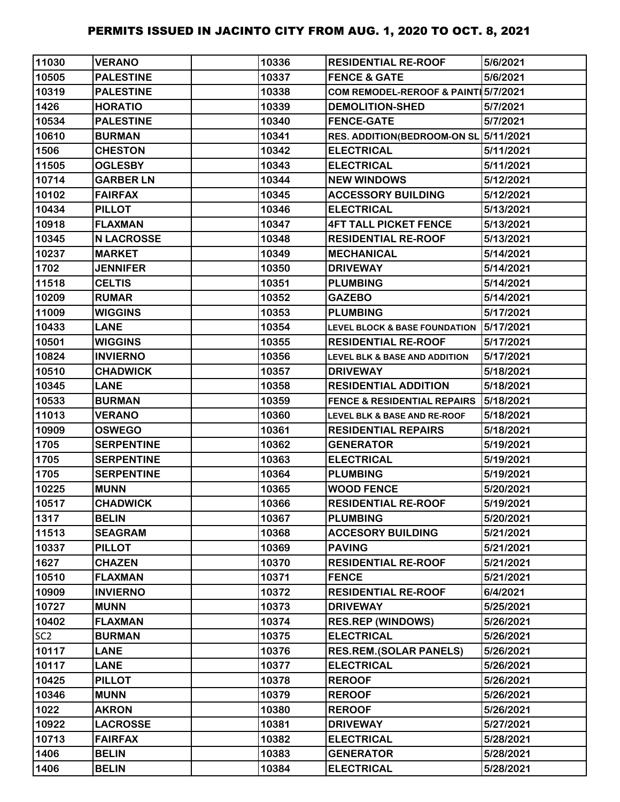| 11030           | <b>VERANO</b>     | 10336 | <b>RESIDENTIAL RE-ROOF</b>               | 5/6/2021  |
|-----------------|-------------------|-------|------------------------------------------|-----------|
| 10505           | <b>PALESTINE</b>  | 10337 | <b>FENCE &amp; GATE</b>                  | 5/6/2021  |
| 10319           | <b>PALESTINE</b>  | 10338 | COM REMODEL-REROOF & PAINT 5/7/2021      |           |
| 1426            | <b>HORATIO</b>    | 10339 | <b>DEMOLITION-SHED</b>                   | 5/7/2021  |
| 10534           | <b>PALESTINE</b>  | 10340 | <b>FENCE-GATE</b>                        | 5/7/2021  |
| 10610           | <b>BURMAN</b>     | 10341 | <b>RES. ADDITION(BEDROOM-ON SL</b>       | 5/11/2021 |
| 1506            | <b>CHESTON</b>    | 10342 | <b>ELECTRICAL</b>                        | 5/11/2021 |
| 11505           | <b>OGLESBY</b>    | 10343 | <b>ELECTRICAL</b>                        | 5/11/2021 |
| 10714           | <b>GARBER LN</b>  | 10344 | <b>NEW WINDOWS</b>                       | 5/12/2021 |
| 10102           | <b>FAIRFAX</b>    | 10345 | <b>ACCESSORY BUILDING</b>                | 5/12/2021 |
| 10434           | <b>PILLOT</b>     | 10346 | <b>ELECTRICAL</b>                        | 5/13/2021 |
| 10918           | <b>FLAXMAN</b>    | 10347 | <b>4FT TALL PICKET FENCE</b>             | 5/13/2021 |
| 10345           | <b>N LACROSSE</b> | 10348 | <b>RESIDENTIAL RE-ROOF</b>               | 5/13/2021 |
| 10237           | <b>MARKET</b>     | 10349 | <b>MECHANICAL</b>                        | 5/14/2021 |
| 1702            | <b>JENNIFER</b>   | 10350 | <b>DRIVEWAY</b>                          | 5/14/2021 |
| 11518           | <b>CELTIS</b>     | 10351 | <b>PLUMBING</b>                          | 5/14/2021 |
| 10209           | <b>RUMAR</b>      | 10352 | <b>GAZEBO</b>                            | 5/14/2021 |
| 11009           | <b>WIGGINS</b>    | 10353 | <b>PLUMBING</b>                          | 5/17/2021 |
| 10433           | <b>LANE</b>       | 10354 | <b>LEVEL BLOCK &amp; BASE FOUNDATION</b> | 5/17/2021 |
| 10501           | <b>WIGGINS</b>    | 10355 | <b>RESIDENTIAL RE-ROOF</b>               | 5/17/2021 |
| 10824           | <b>INVIERNO</b>   | 10356 | <b>LEVEL BLK &amp; BASE AND ADDITION</b> | 5/17/2021 |
| 10510           | <b>CHADWICK</b>   | 10357 | <b>DRIVEWAY</b>                          | 5/18/2021 |
| 10345           | <b>LANE</b>       | 10358 | <b>RESIDENTIAL ADDITION</b>              | 5/18/2021 |
| 10533           | <b>BURMAN</b>     | 10359 | <b>FENCE &amp; RESIDENTIAL REPAIRS</b>   | 5/18/2021 |
| 11013           | <b>VERANO</b>     | 10360 | <b>LEVEL BLK &amp; BASE AND RE-ROOF</b>  | 5/18/2021 |
| 10909           | <b>OSWEGO</b>     | 10361 | <b>RESIDENTIAL REPAIRS</b>               | 5/18/2021 |
| 1705            | <b>SERPENTINE</b> | 10362 | <b>GENERATOR</b>                         | 5/19/2021 |
| 1705            | <b>SERPENTINE</b> | 10363 | <b>ELECTRICAL</b>                        | 5/19/2021 |
| 1705            | <b>SERPENTINE</b> | 10364 | <b>PLUMBING</b>                          | 5/19/2021 |
| 10225           | <b>MUNN</b>       | 10365 | <b>WOOD FENCE</b>                        | 5/20/2021 |
| 10517           | <b>CHADWICK</b>   | 10366 | <b>RESIDENTIAL RE-ROOF</b>               | 5/19/2021 |
| 1317            | <b>BELIN</b>      | 10367 | <b>PLUMBING</b>                          | 5/20/2021 |
| 11513           | <b>SEAGRAM</b>    | 10368 | <b>ACCESORY BUILDING</b>                 | 5/21/2021 |
| 10337           | <b>PILLOT</b>     | 10369 | <b>PAVING</b>                            | 5/21/2021 |
| 1627            | <b>CHAZEN</b>     | 10370 | <b>RESIDENTIAL RE-ROOF</b>               | 5/21/2021 |
| 10510           | <b>FLAXMAN</b>    | 10371 | <b>FENCE</b>                             | 5/21/2021 |
| 10909           | <b>INVIERNO</b>   | 10372 | <b>RESIDENTIAL RE-ROOF</b>               | 6/4/2021  |
| 10727           | <b>MUNN</b>       | 10373 | <b>DRIVEWAY</b>                          | 5/25/2021 |
| 10402           | <b>FLAXMAN</b>    | 10374 | <b>RES.REP (WINDOWS)</b>                 | 5/26/2021 |
| SC <sub>2</sub> | <b>BURMAN</b>     | 10375 | <b>ELECTRICAL</b>                        | 5/26/2021 |
| 10117           | <b>LANE</b>       | 10376 | <b>RES.REM.(SOLAR PANELS)</b>            | 5/26/2021 |
| 10117           | <b>LANE</b>       | 10377 | <b>ELECTRICAL</b>                        | 5/26/2021 |
| 10425           | <b>PILLOT</b>     | 10378 | <b>REROOF</b>                            | 5/26/2021 |
| 10346           | <b>MUNN</b>       | 10379 | <b>REROOF</b>                            | 5/26/2021 |
| 1022            | <b>AKRON</b>      | 10380 | <b>REROOF</b>                            | 5/26/2021 |
| 10922           | <b>LACROSSE</b>   | 10381 | <b>DRIVEWAY</b>                          | 5/27/2021 |
| 10713           | <b>FAIRFAX</b>    | 10382 | <b>ELECTRICAL</b>                        | 5/28/2021 |
| 1406            | <b>BELIN</b>      | 10383 | <b>GENERATOR</b>                         | 5/28/2021 |
| 1406            | <b>BELIN</b>      | 10384 | <b>ELECTRICAL</b>                        | 5/28/2021 |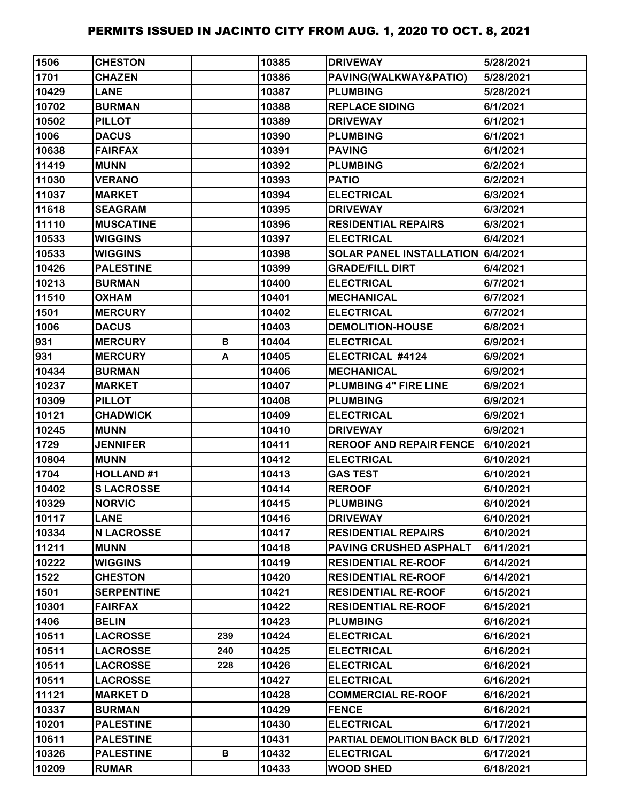| 1506  | <b>CHESTON</b>    |     | 10385 | <b>DRIVEWAY</b>                       | 5/28/2021 |
|-------|-------------------|-----|-------|---------------------------------------|-----------|
| 1701  | <b>CHAZEN</b>     |     | 10386 | PAVING(WALKWAY&PATIO)                 | 5/28/2021 |
| 10429 | <b>LANE</b>       |     | 10387 | <b>PLUMBING</b>                       | 5/28/2021 |
| 10702 | <b>BURMAN</b>     |     | 10388 | <b>REPLACE SIDING</b>                 | 6/1/2021  |
| 10502 | <b>PILLOT</b>     |     | 10389 | <b>DRIVEWAY</b>                       | 6/1/2021  |
| 1006  | <b>DACUS</b>      |     | 10390 | <b>PLUMBING</b>                       | 6/1/2021  |
| 10638 | <b>FAIRFAX</b>    |     | 10391 | <b>PAVING</b>                         | 6/1/2021  |
| 11419 | <b>MUNN</b>       |     | 10392 | <b>PLUMBING</b>                       | 6/2/2021  |
| 11030 | <b>VERANO</b>     |     | 10393 | <b>PATIO</b>                          | 6/2/2021  |
| 11037 | <b>MARKET</b>     |     | 10394 | <b>ELECTRICAL</b>                     | 6/3/2021  |
| 11618 | <b>SEAGRAM</b>    |     | 10395 | <b>DRIVEWAY</b>                       | 6/3/2021  |
| 11110 | <b>MUSCATINE</b>  |     | 10396 | <b>RESIDENTIAL REPAIRS</b>            | 6/3/2021  |
| 10533 | <b>WIGGINS</b>    |     | 10397 | <b>ELECTRICAL</b>                     | 6/4/2021  |
| 10533 | <b>WIGGINS</b>    |     | 10398 | SOLAR PANEL INSTALLATION 6/4/2021     |           |
| 10426 | <b>PALESTINE</b>  |     | 10399 | <b>GRADE/FILL DIRT</b>                | 6/4/2021  |
| 10213 | <b>BURMAN</b>     |     | 10400 | <b>ELECTRICAL</b>                     | 6/7/2021  |
| 11510 | <b>OXHAM</b>      |     | 10401 | <b>MECHANICAL</b>                     | 6/7/2021  |
| 1501  | <b>MERCURY</b>    |     | 10402 | <b>ELECTRICAL</b>                     | 6/7/2021  |
| 1006  | <b>DACUS</b>      |     | 10403 | <b>DEMOLITION-HOUSE</b>               | 6/8/2021  |
| 931   | <b>MERCURY</b>    | В   | 10404 | <b>ELECTRICAL</b>                     | 6/9/2021  |
| 931   | <b>MERCURY</b>    | A   | 10405 | ELECTRICAL #4124                      | 6/9/2021  |
| 10434 | <b>BURMAN</b>     |     | 10406 | <b>MECHANICAL</b>                     | 6/9/2021  |
| 10237 | <b>MARKET</b>     |     | 10407 | PLUMBING 4" FIRE LINE                 | 6/9/2021  |
| 10309 | <b>PILLOT</b>     |     | 10408 | <b>PLUMBING</b>                       | 6/9/2021  |
| 10121 | <b>CHADWICK</b>   |     | 10409 | <b>ELECTRICAL</b>                     | 6/9/2021  |
| 10245 | <b>MUNN</b>       |     | 10410 | <b>DRIVEWAY</b>                       | 6/9/2021  |
| 1729  | <b>JENNIFER</b>   |     | 10411 | <b>REROOF AND REPAIR FENCE</b>        | 6/10/2021 |
| 10804 | <b>MUNN</b>       |     | 10412 | <b>ELECTRICAL</b>                     | 6/10/2021 |
| 1704  | <b>HOLLAND#1</b>  |     | 10413 | <b>GAS TEST</b>                       | 6/10/2021 |
| 10402 | <b>SLACROSSE</b>  |     | 10414 | <b>REROOF</b>                         | 6/10/2021 |
| 10329 | <b>NORVIC</b>     |     | 10415 | <b>PLUMBING</b>                       | 6/10/2021 |
| 10117 | <b>LANE</b>       |     | 10416 | <b>DRIVEWAY</b>                       | 6/10/2021 |
| 10334 | <b>N LACROSSE</b> |     | 10417 | <b>RESIDENTIAL REPAIRS</b>            | 6/10/2021 |
| 11211 | <b>MUNN</b>       |     | 10418 | <b>PAVING CRUSHED ASPHALT</b>         | 6/11/2021 |
| 10222 | <b>WIGGINS</b>    |     | 10419 | <b>RESIDENTIAL RE-ROOF</b>            | 6/14/2021 |
| 1522  | <b>CHESTON</b>    |     | 10420 | <b>RESIDENTIAL RE-ROOF</b>            | 6/14/2021 |
| 1501  | <b>SERPENTINE</b> |     | 10421 | <b>RESIDENTIAL RE-ROOF</b>            | 6/15/2021 |
| 10301 | <b>FAIRFAX</b>    |     | 10422 | <b>RESIDENTIAL RE-ROOF</b>            | 6/15/2021 |
| 1406  | <b>BELIN</b>      |     | 10423 | <b>PLUMBING</b>                       | 6/16/2021 |
| 10511 | <b>LACROSSE</b>   | 239 | 10424 | <b>ELECTRICAL</b>                     | 6/16/2021 |
| 10511 | <b>LACROSSE</b>   | 240 | 10425 | <b>ELECTRICAL</b>                     | 6/16/2021 |
| 10511 | <b>LACROSSE</b>   | 228 | 10426 | <b>ELECTRICAL</b>                     | 6/16/2021 |
| 10511 | <b>LACROSSE</b>   |     | 10427 | <b>ELECTRICAL</b>                     | 6/16/2021 |
| 11121 | <b>MARKET D</b>   |     | 10428 | <b>COMMERCIAL RE-ROOF</b>             | 6/16/2021 |
| 10337 | <b>BURMAN</b>     |     | 10429 | <b>FENCE</b>                          | 6/16/2021 |
| 10201 | <b>PALESTINE</b>  |     | 10430 | <b>ELECTRICAL</b>                     | 6/17/2021 |
| 10611 | <b>PALESTINE</b>  |     | 10431 | PARTIAL DEMOLITION BACK BLD 6/17/2021 |           |
| 10326 | <b>PALESTINE</b>  | В   | 10432 | <b>ELECTRICAL</b>                     | 6/17/2021 |
| 10209 | <b>RUMAR</b>      |     | 10433 | <b>WOOD SHED</b>                      | 6/18/2021 |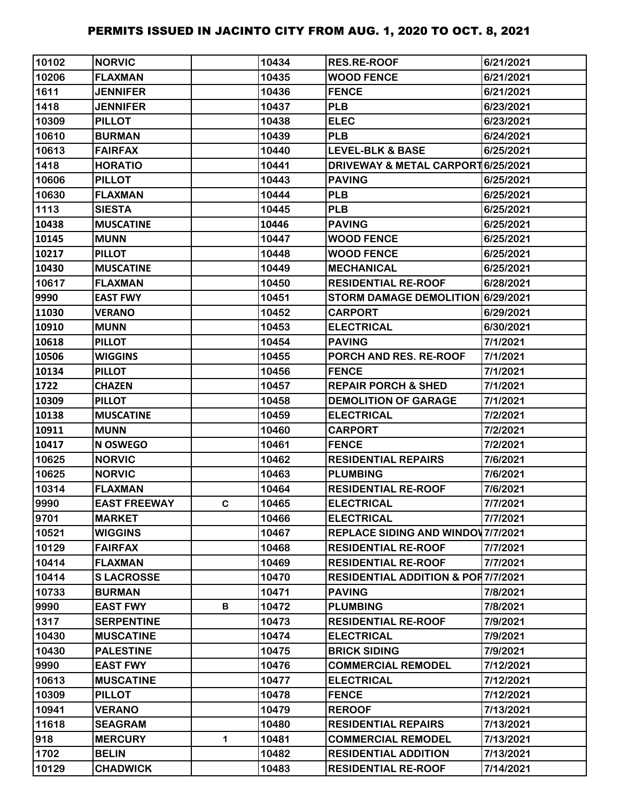| 10102 | <b>NORVIC</b>       |             | 10434 | <b>RES.RE-ROOF</b>                            | 6/21/2021 |
|-------|---------------------|-------------|-------|-----------------------------------------------|-----------|
| 10206 | <b>FLAXMAN</b>      |             | 10435 | <b>WOOD FENCE</b>                             | 6/21/2021 |
| 1611  | <b>JENNIFER</b>     |             | 10436 | <b>FENCE</b>                                  | 6/21/2021 |
| 1418  | <b>JENNIFER</b>     |             | 10437 | <b>PLB</b>                                    | 6/23/2021 |
| 10309 | <b>PILLOT</b>       |             | 10438 | <b>ELEC</b>                                   | 6/23/2021 |
| 10610 | <b>BURMAN</b>       |             | 10439 | <b>PLB</b>                                    | 6/24/2021 |
| 10613 | <b>FAIRFAX</b>      |             | 10440 | <b>LEVEL-BLK &amp; BASE</b>                   | 6/25/2021 |
| 1418  | <b>HORATIO</b>      |             | 10441 | <b>DRIVEWAY &amp; METAL CARPORT6/25/2021</b>  |           |
| 10606 | <b>PILLOT</b>       |             | 10443 | <b>PAVING</b>                                 | 6/25/2021 |
| 10630 | <b>FLAXMAN</b>      |             | 10444 | <b>PLB</b>                                    | 6/25/2021 |
| 1113  | <b>SIESTA</b>       |             | 10445 | <b>PLB</b>                                    | 6/25/2021 |
| 10438 | <b>MUSCATINE</b>    |             | 10446 | <b>PAVING</b>                                 | 6/25/2021 |
| 10145 | <b>MUNN</b>         |             | 10447 | <b>WOOD FENCE</b>                             | 6/25/2021 |
| 10217 | <b>PILLOT</b>       |             | 10448 | <b>WOOD FENCE</b>                             | 6/25/2021 |
| 10430 | <b>MUSCATINE</b>    |             | 10449 | <b>MECHANICAL</b>                             | 6/25/2021 |
| 10617 | <b>FLAXMAN</b>      |             | 10450 | <b>RESIDENTIAL RE-ROOF</b>                    | 6/28/2021 |
| 9990  | <b>EAST FWY</b>     |             | 10451 | STORM DAMAGE DEMOLITION 6/29/2021             |           |
| 11030 | <b>VERANO</b>       |             | 10452 | <b>CARPORT</b>                                | 6/29/2021 |
| 10910 | <b>MUNN</b>         |             | 10453 | <b>ELECTRICAL</b>                             | 6/30/2021 |
| 10618 | <b>PILLOT</b>       |             | 10454 | <b>PAVING</b>                                 | 7/1/2021  |
| 10506 | <b>WIGGINS</b>      |             | 10455 | PORCH AND RES. RE-ROOF                        | 7/1/2021  |
| 10134 | <b>PILLOT</b>       |             | 10456 | <b>FENCE</b>                                  | 7/1/2021  |
| 1722  | <b>CHAZEN</b>       |             | 10457 | <b>REPAIR PORCH &amp; SHED</b>                | 7/1/2021  |
| 10309 | <b>PILLOT</b>       |             | 10458 | <b>DEMOLITION OF GARAGE</b>                   | 7/1/2021  |
| 10138 | <b>MUSCATINE</b>    |             | 10459 | <b>ELECTRICAL</b>                             | 7/2/2021  |
| 10911 | <b>MUNN</b>         |             | 10460 | <b>CARPORT</b>                                | 7/2/2021  |
| 10417 | N OSWEGO            |             | 10461 | <b>FENCE</b>                                  | 7/2/2021  |
| 10625 | <b>NORVIC</b>       |             | 10462 | <b>RESIDENTIAL REPAIRS</b>                    | 7/6/2021  |
| 10625 | <b>NORVIC</b>       |             | 10463 | <b>PLUMBING</b>                               | 7/6/2021  |
| 10314 | <b>FLAXMAN</b>      |             | 10464 | <b>RESIDENTIAL RE-ROOF</b>                    | 7/6/2021  |
| 9990  | <b>EAST FREEWAY</b> | C.          | 10465 | <b>ELECTRICAL</b>                             | 7/7/2021  |
| 9701  | <b>MARKET</b>       |             | 10466 | <b>ELECTRICAL</b>                             | 7/7/2021  |
| 10521 | <b>WIGGINS</b>      |             | 10467 | <b>REPLACE SIDING AND WINDOV 7/7/2021</b>     |           |
| 10129 | <b>FAIRFAX</b>      |             | 10468 | <b>RESIDENTIAL RE-ROOF</b>                    | 7/7/2021  |
| 10414 | <b>FLAXMAN</b>      |             | 10469 | <b>RESIDENTIAL RE-ROOF</b>                    | 7/7/2021  |
| 10414 | <b>SLACROSSE</b>    |             | 10470 | <b>RESIDENTIAL ADDITION &amp; POR7/7/2021</b> |           |
| 10733 | <b>BURMAN</b>       |             | 10471 | <b>PAVING</b>                                 | 7/8/2021  |
| 9990  | <b>EAST FWY</b>     | B           | 10472 | <b>PLUMBING</b>                               | 7/8/2021  |
| 1317  | <b>SERPENTINE</b>   |             | 10473 | <b>RESIDENTIAL RE-ROOF</b>                    | 7/9/2021  |
| 10430 | <b>MUSCATINE</b>    |             | 10474 | <b>ELECTRICAL</b>                             | 7/9/2021  |
| 10430 | <b>PALESTINE</b>    |             | 10475 | <b>BRICK SIDING</b>                           | 7/9/2021  |
| 9990  | <b>EAST FWY</b>     |             | 10476 | <b>COMMERCIAL REMODEL</b>                     | 7/12/2021 |
| 10613 | <b>MUSCATINE</b>    |             | 10477 | <b>ELECTRICAL</b>                             | 7/12/2021 |
| 10309 | <b>PILLOT</b>       |             | 10478 | <b>FENCE</b>                                  | 7/12/2021 |
| 10941 | <b>VERANO</b>       |             | 10479 | <b>REROOF</b>                                 | 7/13/2021 |
| 11618 | <b>SEAGRAM</b>      |             | 10480 | <b>RESIDENTIAL REPAIRS</b>                    | 7/13/2021 |
| 918   | <b>MERCURY</b>      | $\mathbf 1$ | 10481 | <b>COMMERCIAL REMODEL</b>                     | 7/13/2021 |
| 1702  | <b>BELIN</b>        |             | 10482 | <b>RESIDENTIAL ADDITION</b>                   | 7/13/2021 |
| 10129 | <b>CHADWICK</b>     |             | 10483 | <b>RESIDENTIAL RE-ROOF</b>                    | 7/14/2021 |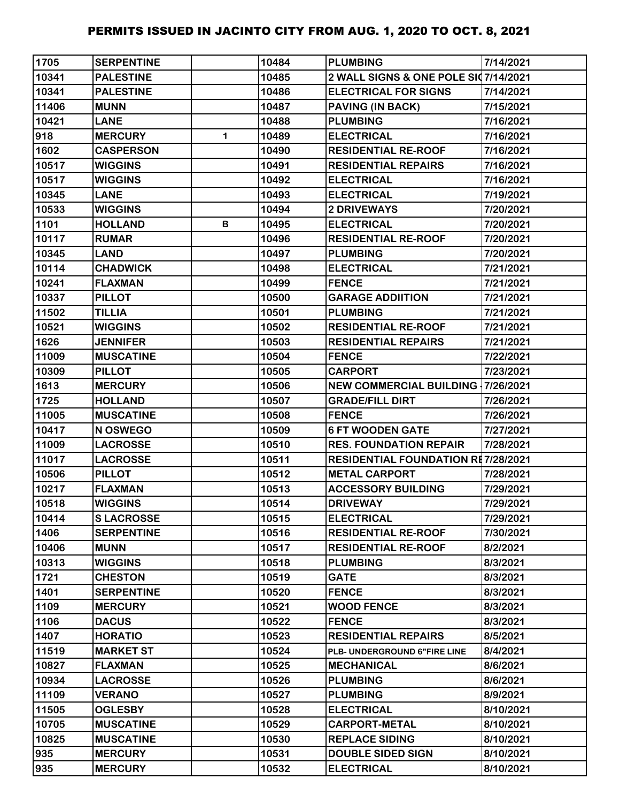| 1705  | <b>SERPENTINE</b> |   | 10484 | <b>PLUMBING</b>                           | 7/14/2021 |
|-------|-------------------|---|-------|-------------------------------------------|-----------|
| 10341 | <b>PALESTINE</b>  |   | 10485 | 2 WALL SIGNS & ONE POLE SI07/14/2021      |           |
| 10341 | <b>PALESTINE</b>  |   | 10486 | <b>ELECTRICAL FOR SIGNS</b>               | 7/14/2021 |
| 11406 | <b>MUNN</b>       |   | 10487 | <b>PAVING (IN BACK)</b>                   | 7/15/2021 |
| 10421 | <b>LANE</b>       |   | 10488 | <b>PLUMBING</b>                           | 7/16/2021 |
| 918   | <b>MERCURY</b>    | 1 | 10489 | <b>ELECTRICAL</b>                         | 7/16/2021 |
| 1602  | <b>CASPERSON</b>  |   | 10490 | <b>RESIDENTIAL RE-ROOF</b>                | 7/16/2021 |
| 10517 | <b>WIGGINS</b>    |   | 10491 | <b>RESIDENTIAL REPAIRS</b>                | 7/16/2021 |
| 10517 | <b>WIGGINS</b>    |   | 10492 | <b>ELECTRICAL</b>                         | 7/16/2021 |
| 10345 | <b>LANE</b>       |   | 10493 | <b>ELECTRICAL</b>                         | 7/19/2021 |
| 10533 | <b>WIGGINS</b>    |   | 10494 | 2 DRIVEWAYS                               | 7/20/2021 |
| 1101  | <b>HOLLAND</b>    | В | 10495 | <b>ELECTRICAL</b>                         | 7/20/2021 |
| 10117 | <b>RUMAR</b>      |   | 10496 | <b>RESIDENTIAL RE-ROOF</b>                | 7/20/2021 |
| 10345 | <b>LAND</b>       |   | 10497 | <b>PLUMBING</b>                           | 7/20/2021 |
| 10114 | <b>CHADWICK</b>   |   | 10498 | <b>ELECTRICAL</b>                         | 7/21/2021 |
| 10241 | <b>FLAXMAN</b>    |   | 10499 | <b>FENCE</b>                              | 7/21/2021 |
| 10337 | <b>PILLOT</b>     |   | 10500 | <b>GARAGE ADDIITION</b>                   | 7/21/2021 |
| 11502 | <b>TILLIA</b>     |   | 10501 | <b>PLUMBING</b>                           | 7/21/2021 |
| 10521 | <b>WIGGINS</b>    |   | 10502 | <b>RESIDENTIAL RE-ROOF</b>                | 7/21/2021 |
| 1626  | <b>JENNIFER</b>   |   | 10503 | <b>RESIDENTIAL REPAIRS</b>                | 7/21/2021 |
| 11009 | <b>MUSCATINE</b>  |   | 10504 | <b>FENCE</b>                              | 7/22/2021 |
| 10309 | <b>PILLOT</b>     |   | 10505 | <b>CARPORT</b>                            | 7/23/2021 |
| 1613  | <b>MERCURY</b>    |   | 10506 | <b>NEW COMMERCIAL BUILDING 17/26/2021</b> |           |
| 1725  | <b>HOLLAND</b>    |   | 10507 | <b>GRADE/FILL DIRT</b>                    | 7/26/2021 |
| 11005 | <b>MUSCATINE</b>  |   | 10508 | <b>FENCE</b>                              | 7/26/2021 |
| 10417 | N OSWEGO          |   | 10509 | <b>6 FT WOODEN GATE</b>                   | 7/27/2021 |
| 11009 | <b>LACROSSE</b>   |   | 10510 | <b>RES. FOUNDATION REPAIR</b>             | 7/28/2021 |
| 11017 | <b>LACROSSE</b>   |   | 10511 | <b>RESIDENTIAL FOUNDATION RE7/28/2021</b> |           |
| 10506 | <b>PILLOT</b>     |   | 10512 | <b>METAL CARPORT</b>                      | 7/28/2021 |
| 10217 | <b>FLAXMAN</b>    |   | 10513 | <b>ACCESSORY BUILDING</b>                 | 7/29/2021 |
| 10518 | <b>WIGGINS</b>    |   | 10514 | <b>DRIVEWAY</b>                           | 7/29/2021 |
| 10414 | <b>SLACROSSE</b>  |   | 10515 | <b>ELECTRICAL</b>                         | 7/29/2021 |
| 1406  | <b>SERPENTINE</b> |   | 10516 | <b>RESIDENTIAL RE-ROOF</b>                | 7/30/2021 |
| 10406 | <b>MUNN</b>       |   | 10517 | <b>RESIDENTIAL RE-ROOF</b>                | 8/2/2021  |
| 10313 | <b>WIGGINS</b>    |   | 10518 | <b>PLUMBING</b>                           | 8/3/2021  |
| 1721  | <b>CHESTON</b>    |   | 10519 | GATE                                      | 8/3/2021  |
| 1401  | <b>SERPENTINE</b> |   | 10520 | <b>FENCE</b>                              | 8/3/2021  |
| 1109  | <b>MERCURY</b>    |   | 10521 | <b>WOOD FENCE</b>                         | 8/3/2021  |
| 1106  | <b>DACUS</b>      |   | 10522 | <b>FENCE</b>                              | 8/3/2021  |
| 1407  | <b>HORATIO</b>    |   | 10523 | <b>RESIDENTIAL REPAIRS</b>                | 8/5/2021  |
| 11519 | <b>MARKET ST</b>  |   | 10524 | PLB- UNDERGROUND 6"FIRE LINE              | 8/4/2021  |
| 10827 | <b>FLAXMAN</b>    |   | 10525 | <b>MECHANICAL</b>                         | 8/6/2021  |
| 10934 | <b>LACROSSE</b>   |   | 10526 | <b>PLUMBING</b>                           | 8/6/2021  |
| 11109 | <b>VERANO</b>     |   | 10527 | <b>PLUMBING</b>                           | 8/9/2021  |
| 11505 | <b>OGLESBY</b>    |   | 10528 | <b>ELECTRICAL</b>                         | 8/10/2021 |
| 10705 | <b>MUSCATINE</b>  |   | 10529 | <b>CARPORT-METAL</b>                      | 8/10/2021 |
| 10825 | <b>MUSCATINE</b>  |   | 10530 | <b>REPLACE SIDING</b>                     | 8/10/2021 |
| 935   | <b>MERCURY</b>    |   | 10531 | <b>DOUBLE SIDED SIGN</b>                  | 8/10/2021 |
| 935   | <b>MERCURY</b>    |   | 10532 | <b>ELECTRICAL</b>                         | 8/10/2021 |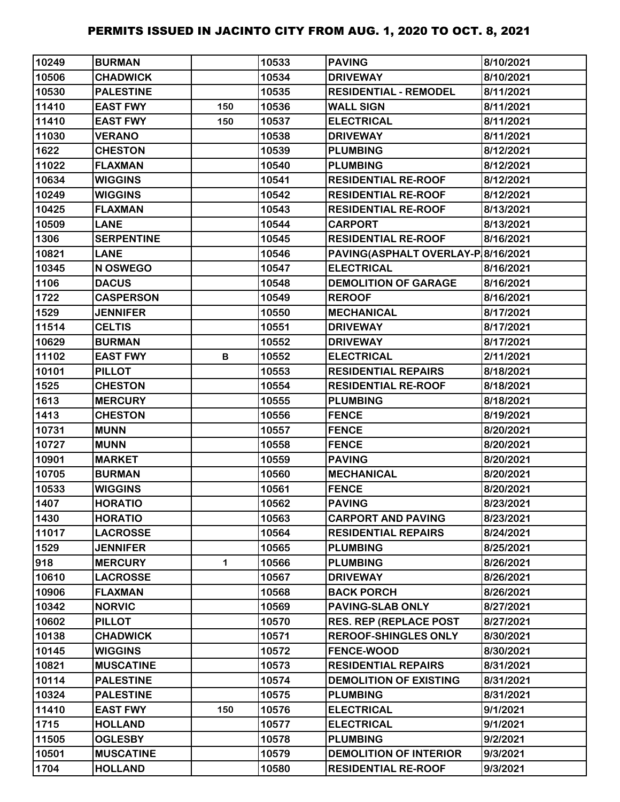| 10249 | <b>BURMAN</b>     |     | 10533 | <b>PAVING</b>                      | 8/10/2021 |
|-------|-------------------|-----|-------|------------------------------------|-----------|
| 10506 | <b>CHADWICK</b>   |     | 10534 | <b>DRIVEWAY</b>                    | 8/10/2021 |
| 10530 | <b>PALESTINE</b>  |     | 10535 | <b>RESIDENTIAL - REMODEL</b>       | 8/11/2021 |
| 11410 | <b>EAST FWY</b>   | 150 | 10536 | <b>WALL SIGN</b>                   | 8/11/2021 |
| 11410 | <b>EAST FWY</b>   | 150 | 10537 | <b>ELECTRICAL</b>                  | 8/11/2021 |
| 11030 | <b>VERANO</b>     |     | 10538 | <b>DRIVEWAY</b>                    | 8/11/2021 |
| 1622  | <b>CHESTON</b>    |     | 10539 | <b>PLUMBING</b>                    | 8/12/2021 |
| 11022 | <b>FLAXMAN</b>    |     | 10540 | <b>PLUMBING</b>                    | 8/12/2021 |
| 10634 | <b>WIGGINS</b>    |     | 10541 | <b>RESIDENTIAL RE-ROOF</b>         | 8/12/2021 |
| 10249 | <b>WIGGINS</b>    |     | 10542 | <b>RESIDENTIAL RE-ROOF</b>         | 8/12/2021 |
| 10425 | <b>FLAXMAN</b>    |     | 10543 | <b>RESIDENTIAL RE-ROOF</b>         | 8/13/2021 |
| 10509 | <b>LANE</b>       |     | 10544 | <b>CARPORT</b>                     | 8/13/2021 |
| 1306  | <b>SERPENTINE</b> |     | 10545 | <b>RESIDENTIAL RE-ROOF</b>         | 8/16/2021 |
| 10821 | <b>LANE</b>       |     | 10546 | PAVING(ASPHALT OVERLAY-P 8/16/2021 |           |
| 10345 | N OSWEGO          |     | 10547 | <b>ELECTRICAL</b>                  | 8/16/2021 |
| 1106  | <b>DACUS</b>      |     | 10548 | <b>DEMOLITION OF GARAGE</b>        | 8/16/2021 |
| 1722  | <b>CASPERSON</b>  |     | 10549 | <b>REROOF</b>                      | 8/16/2021 |
| 1529  | <b>JENNIFER</b>   |     | 10550 | <b>MECHANICAL</b>                  | 8/17/2021 |
| 11514 | <b>CELTIS</b>     |     | 10551 | <b>DRIVEWAY</b>                    | 8/17/2021 |
| 10629 | <b>BURMAN</b>     |     | 10552 | <b>DRIVEWAY</b>                    | 8/17/2021 |
| 11102 | <b>EAST FWY</b>   | В   | 10552 | <b>ELECTRICAL</b>                  | 2/11/2021 |
| 10101 | <b>PILLOT</b>     |     | 10553 | <b>RESIDENTIAL REPAIRS</b>         | 8/18/2021 |
| 1525  | <b>CHESTON</b>    |     | 10554 | <b>RESIDENTIAL RE-ROOF</b>         | 8/18/2021 |
| 1613  | <b>MERCURY</b>    |     | 10555 | <b>PLUMBING</b>                    | 8/18/2021 |
| 1413  | <b>CHESTON</b>    |     | 10556 | <b>FENCE</b>                       | 8/19/2021 |
| 10731 | <b>MUNN</b>       |     | 10557 | <b>FENCE</b>                       | 8/20/2021 |
| 10727 | <b>MUNN</b>       |     | 10558 | <b>FENCE</b>                       | 8/20/2021 |
| 10901 | <b>MARKET</b>     |     | 10559 | <b>PAVING</b>                      | 8/20/2021 |
| 10705 | <b>BURMAN</b>     |     | 10560 | <b>MECHANICAL</b>                  | 8/20/2021 |
| 10533 | <b>WIGGINS</b>    |     | 10561 | <b>FENCE</b>                       | 8/20/2021 |
| 1407  | <b>HORATIO</b>    |     | 10562 | <b>PAVING</b>                      | 8/23/2021 |
| 1430  | <b>HORATIO</b>    |     | 10563 | <b>CARPORT AND PAVING</b>          | 8/23/2021 |
| 11017 | <b>LACROSSE</b>   |     | 10564 | <b>RESIDENTIAL REPAIRS</b>         | 8/24/2021 |
| 1529  | <b>JENNIFER</b>   |     | 10565 | <b>PLUMBING</b>                    | 8/25/2021 |
| 918   | <b>MERCURY</b>    | 1   | 10566 | <b>PLUMBING</b>                    | 8/26/2021 |
| 10610 | <b>LACROSSE</b>   |     | 10567 | <b>DRIVEWAY</b>                    | 8/26/2021 |
| 10906 | <b>FLAXMAN</b>    |     | 10568 | <b>BACK PORCH</b>                  | 8/26/2021 |
| 10342 | <b>NORVIC</b>     |     | 10569 | PAVING-SLAB ONLY                   | 8/27/2021 |
| 10602 | <b>PILLOT</b>     |     | 10570 | <b>RES. REP (REPLACE POST)</b>     | 8/27/2021 |
| 10138 | <b>CHADWICK</b>   |     | 10571 | <b>REROOF-SHINGLES ONLY</b>        | 8/30/2021 |
| 10145 | <b>WIGGINS</b>    |     | 10572 | <b>FENCE-WOOD</b>                  | 8/30/2021 |
| 10821 | <b>MUSCATINE</b>  |     | 10573 | <b>RESIDENTIAL REPAIRS</b>         | 8/31/2021 |
| 10114 | <b>PALESTINE</b>  |     | 10574 | <b>DEMOLITION OF EXISTING</b>      | 8/31/2021 |
| 10324 | <b>PALESTINE</b>  |     | 10575 | <b>PLUMBING</b>                    | 8/31/2021 |
| 11410 | <b>EAST FWY</b>   | 150 | 10576 | <b>ELECTRICAL</b>                  | 9/1/2021  |
| 1715  | <b>HOLLAND</b>    |     | 10577 | <b>ELECTRICAL</b>                  | 9/1/2021  |
| 11505 | <b>OGLESBY</b>    |     | 10578 | <b>PLUMBING</b>                    | 9/2/2021  |
| 10501 | <b>MUSCATINE</b>  |     | 10579 | <b>DEMOLITION OF INTERIOR</b>      | 9/3/2021  |
| 1704  | <b>HOLLAND</b>    |     | 10580 | <b>RESIDENTIAL RE-ROOF</b>         | 9/3/2021  |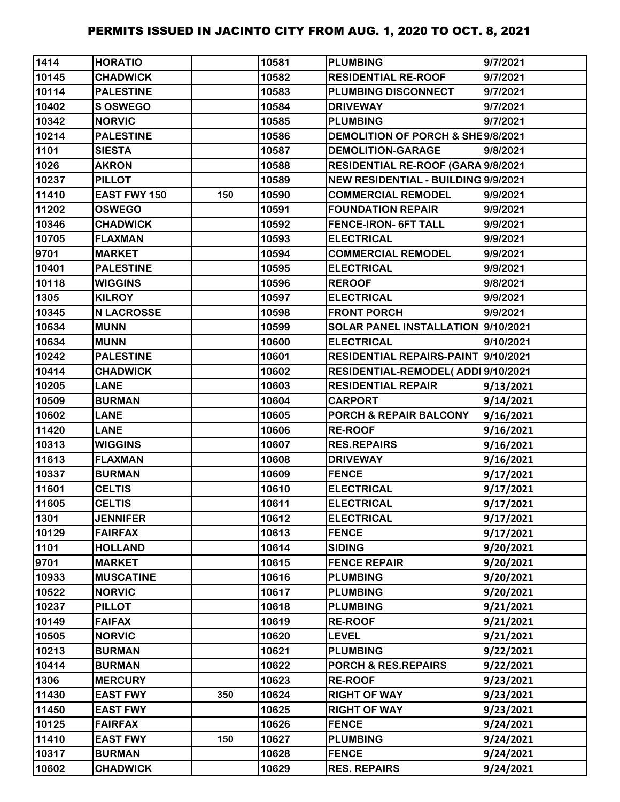| 1414  | <b>HORATIO</b>    |     | 10581 | <b>PLUMBING</b>                     | 9/7/2021  |
|-------|-------------------|-----|-------|-------------------------------------|-----------|
| 10145 | <b>CHADWICK</b>   |     | 10582 | <b>RESIDENTIAL RE-ROOF</b>          | 9/7/2021  |
| 10114 | <b>PALESTINE</b>  |     | 10583 | <b>PLUMBING DISCONNECT</b>          | 9/7/2021  |
| 10402 | <b>S OSWEGO</b>   |     | 10584 | <b>DRIVEWAY</b>                     | 9/7/2021  |
| 10342 | <b>NORVIC</b>     |     | 10585 | <b>PLUMBING</b>                     | 9/7/2021  |
| 10214 | <b>PALESTINE</b>  |     | 10586 | DEMOLITION OF PORCH & SHE9/8/2021   |           |
| 1101  | <b>SIESTA</b>     |     | 10587 | <b>DEMOLITION-GARAGE</b>            | 9/8/2021  |
| 1026  | <b>AKRON</b>      |     | 10588 | RESIDENTIAL RE-ROOF (GARA 9/8/2021  |           |
| 10237 | <b>PILLOT</b>     |     | 10589 | NEW RESIDENTIAL - BUILDING 9/9/2021 |           |
| 11410 | EAST FWY 150      | 150 | 10590 | <b>COMMERCIAL REMODEL</b>           | 9/9/2021  |
| 11202 | <b>OSWEGO</b>     |     | 10591 | <b>FOUNDATION REPAIR</b>            | 9/9/2021  |
| 10346 | <b>CHADWICK</b>   |     | 10592 | <b>FENCE-IRON- 6FT TALL</b>         | 9/9/2021  |
| 10705 | <b>FLAXMAN</b>    |     | 10593 | <b>ELECTRICAL</b>                   | 9/9/2021  |
| 9701  | <b>MARKET</b>     |     | 10594 | <b>COMMERCIAL REMODEL</b>           | 9/9/2021  |
| 10401 | <b>PALESTINE</b>  |     | 10595 | <b>ELECTRICAL</b>                   | 9/9/2021  |
| 10118 | <b>WIGGINS</b>    |     | 10596 | <b>REROOF</b>                       | 9/8/2021  |
| 1305  | <b>KILROY</b>     |     | 10597 | <b>ELECTRICAL</b>                   | 9/9/2021  |
| 10345 | <b>N LACROSSE</b> |     | 10598 | <b>FRONT PORCH</b>                  | 9/9/2021  |
| 10634 | <b>MUNN</b>       |     | 10599 | SOLAR PANEL INSTALLATION 9/10/2021  |           |
| 10634 | <b>MUNN</b>       |     | 10600 | <b>ELECTRICAL</b>                   | 9/10/2021 |
| 10242 | <b>PALESTINE</b>  |     | 10601 | RESIDENTIAL REPAIRS-PAINT 9/10/2021 |           |
| 10414 | <b>CHADWICK</b>   |     | 10602 | RESIDENTIAL-REMODEL(ADDI 9/10/2021  |           |
| 10205 | <b>LANE</b>       |     | 10603 | <b>RESIDENTIAL REPAIR</b>           | 9/13/2021 |
| 10509 | <b>BURMAN</b>     |     | 10604 | <b>CARPORT</b>                      | 9/14/2021 |
| 10602 | <b>LANE</b>       |     | 10605 | PORCH & REPAIR BALCONY              | 9/16/2021 |
| 11420 | <b>LANE</b>       |     | 10606 | <b>RE-ROOF</b>                      | 9/16/2021 |
| 10313 | <b>WIGGINS</b>    |     | 10607 | <b>RES.REPAIRS</b>                  | 9/16/2021 |
| 11613 | <b>FLAXMAN</b>    |     | 10608 | <b>DRIVEWAY</b>                     | 9/16/2021 |
| 10337 | <b>BURMAN</b>     |     | 10609 | <b>FENCE</b>                        | 9/17/2021 |
| 11601 | <b>CELTIS</b>     |     | 10610 | <b>ELECTRICAL</b>                   | 9/17/2021 |
| 11605 | <b>CELTIS</b>     |     | 10611 | <b>ELECTRICAL</b>                   | 9/17/2021 |
| 1301  | <b>JENNIFER</b>   |     | 10612 | <b>ELECTRICAL</b>                   | 9/17/2021 |
| 10129 | <b>FAIRFAX</b>    |     | 10613 | <b>FENCE</b>                        | 9/17/2021 |
| 1101  | <b>HOLLAND</b>    |     | 10614 | <b>SIDING</b>                       | 9/20/2021 |
| 9701  | <b>MARKET</b>     |     | 10615 | <b>FENCE REPAIR</b>                 | 9/20/2021 |
| 10933 | <b>MUSCATINE</b>  |     | 10616 | <b>PLUMBING</b>                     | 9/20/2021 |
| 10522 | <b>NORVIC</b>     |     | 10617 | <b>PLUMBING</b>                     | 9/20/2021 |
| 10237 | <b>PILLOT</b>     |     | 10618 | <b>PLUMBING</b>                     | 9/21/2021 |
| 10149 | <b>FAIFAX</b>     |     | 10619 | <b>RE-ROOF</b>                      | 9/21/2021 |
| 10505 | <b>NORVIC</b>     |     | 10620 | <b>LEVEL</b>                        | 9/21/2021 |
| 10213 | <b>BURMAN</b>     |     | 10621 | <b>PLUMBING</b>                     | 9/22/2021 |
| 10414 | <b>BURMAN</b>     |     | 10622 | PORCH & RES.REPAIRS                 | 9/22/2021 |
| 1306  | <b>MERCURY</b>    |     | 10623 | <b>RE-ROOF</b>                      | 9/23/2021 |
| 11430 | <b>EAST FWY</b>   | 350 | 10624 | <b>RIGHT OF WAY</b>                 | 9/23/2021 |
| 11450 | <b>EAST FWY</b>   |     | 10625 | <b>RIGHT OF WAY</b>                 | 9/23/2021 |
| 10125 | <b>FAIRFAX</b>    |     | 10626 | <b>FENCE</b>                        | 9/24/2021 |
| 11410 | <b>EAST FWY</b>   | 150 | 10627 | <b>PLUMBING</b>                     | 9/24/2021 |
| 10317 | <b>BURMAN</b>     |     | 10628 | <b>FENCE</b>                        | 9/24/2021 |
| 10602 | <b>CHADWICK</b>   |     | 10629 | <b>RES. REPAIRS</b>                 | 9/24/2021 |